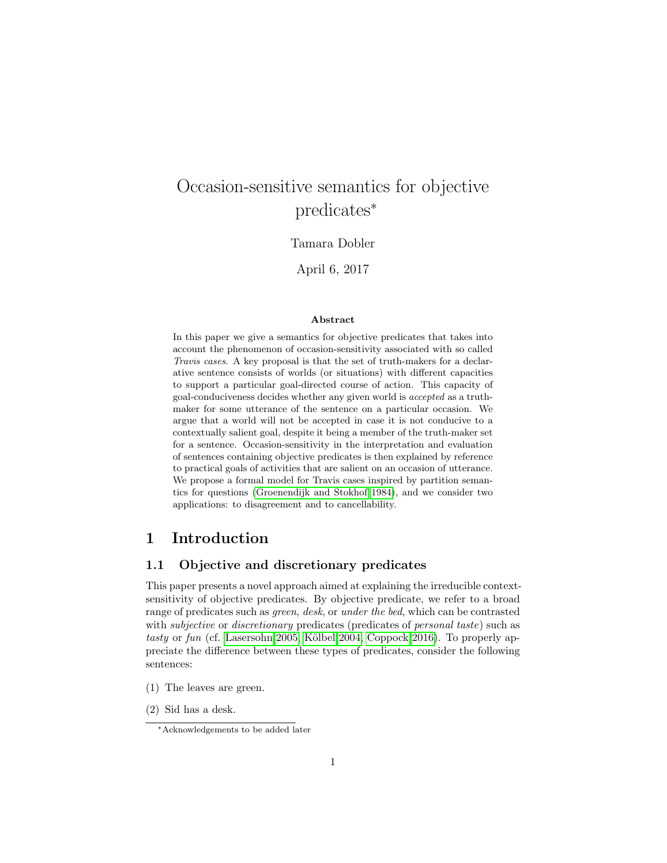# Occasion-sensitive semantics for objective predicates<sup>∗</sup>

## Tamara Dobler

April 6, 2017

#### Abstract

In this paper we give a semantics for objective predicates that takes into account the phenomenon of occasion-sensitivity associated with so called Travis cases. A key proposal is that the set of truth-makers for a declarative sentence consists of worlds (or situations) with different capacities to support a particular goal-directed course of action. This capacity of goal-conduciveness decides whether any given world is accepted as a truthmaker for some utterance of the sentence on a particular occasion. We argue that a world will not be accepted in case it is not conducive to a contextually salient goal, despite it being a member of the truth-maker set for a sentence. Occasion-sensitivity in the interpretation and evaluation of sentences containing objective predicates is then explained by reference to practical goals of activities that are salient on an occasion of utterance. We propose a formal model for Travis cases inspired by partition semantics for questions [\(Groenendijk and Stokhof 1984\)](#page-26-0), and we consider two applications: to disagreement and to cancellability.

## 1 Introduction

## 1.1 Objective and discretionary predicates

This paper presents a novel approach aimed at explaining the irreducible contextsensitivity of objective predicates. By objective predicate, we refer to a broad range of predicates such as green, desk, or under the bed, which can be contrasted with *subjective* or *discretionary* predicates (predicates of *personal taste*) such as tasty or fun (cf. [Lasersohn 2005,](#page-26-1) Kölbel 2004, [Coppock 2016\)](#page-26-3). To properly appreciate the difference between these types of predicates, consider the following sentences:

- (1) The leaves are green.
- (2) Sid has a desk.

<sup>∗</sup>Acknowledgements to be added later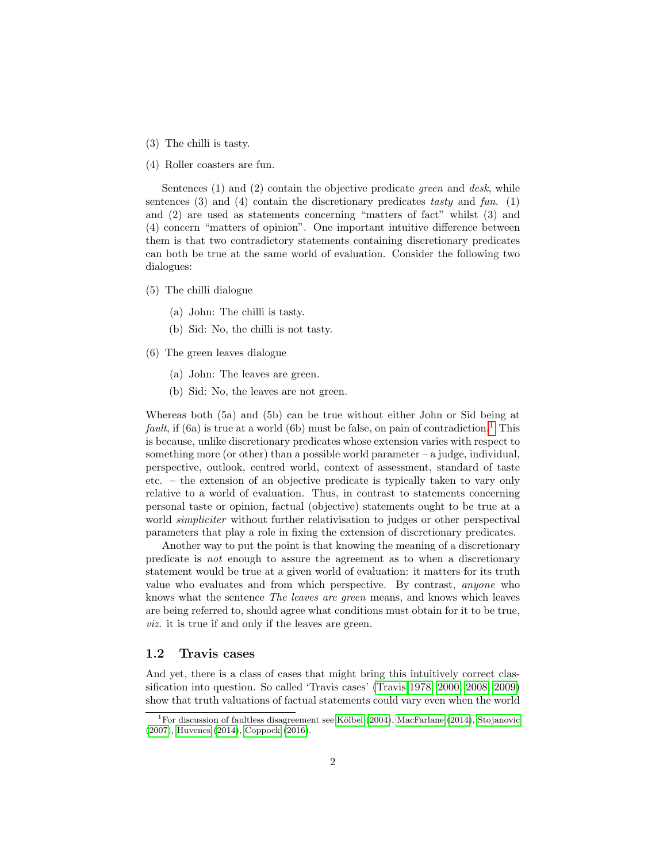- (3) The chilli is tasty.
- (4) Roller coasters are fun.

Sentences  $(1)$  and  $(2)$  contain the objective predicate green and desk, while sentences  $(3)$  and  $(4)$  contain the discretionary predicates tasty and fun.  $(1)$ and (2) are used as statements concerning "matters of fact" whilst (3) and (4) concern "matters of opinion". One important intuitive difference between them is that two contradictory statements containing discretionary predicates can both be true at the same world of evaluation. Consider the following two dialogues:

- (5) The chilli dialogue
	- (a) John: The chilli is tasty.
	- (b) Sid: No, the chilli is not tasty.
- (6) The green leaves dialogue
	- (a) John: The leaves are green.
	- (b) Sid: No, the leaves are not green.

Whereas both (5a) and (5b) can be true without either John or Sid being at *fault*, if (6a) is true at a world (6b) must be false, on pain of contradiction.<sup>[1](#page-1-0)</sup> This is because, unlike discretionary predicates whose extension varies with respect to something more (or other) than a possible world parameter  $-$  a judge, individual, perspective, outlook, centred world, context of assessment, standard of taste etc. – the extension of an objective predicate is typically taken to vary only relative to a world of evaluation. Thus, in contrast to statements concerning personal taste or opinion, factual (objective) statements ought to be true at a world *simpliciter* without further relativisation to judges or other perspectival parameters that play a role in fixing the extension of discretionary predicates.

Another way to put the point is that knowing the meaning of a discretionary predicate is not enough to assure the agreement as to when a discretionary statement would be true at a given world of evaluation: it matters for its truth value who evaluates and from which perspective. By contrast, anyone who knows what the sentence The leaves are green means, and knows which leaves are being referred to, should agree what conditions must obtain for it to be true, viz. it is true if and only if the leaves are green.

## 1.2 Travis cases

And yet, there is a class of cases that might bring this intuitively correct classification into question. So called 'Travis cases' [\(Travis 1978,](#page-27-0) [2000,](#page-28-0) [2008,](#page-28-1) [2009\)](#page-28-2) show that truth valuations of factual statements could vary even when the world

<span id="page-1-0"></span><sup>&</sup>lt;sup>1</sup>For discussion of faultless disagreement see Kölbel [\(2004\)](#page-26-2), [MacFarlane](#page-26-4) [\(2014\)](#page-26-4), [Stojanovic](#page-27-1) [\(2007\)](#page-27-1), [Huvenes](#page-26-5) [\(2014\)](#page-26-5), [Coppock](#page-26-3) [\(2016\)](#page-26-3).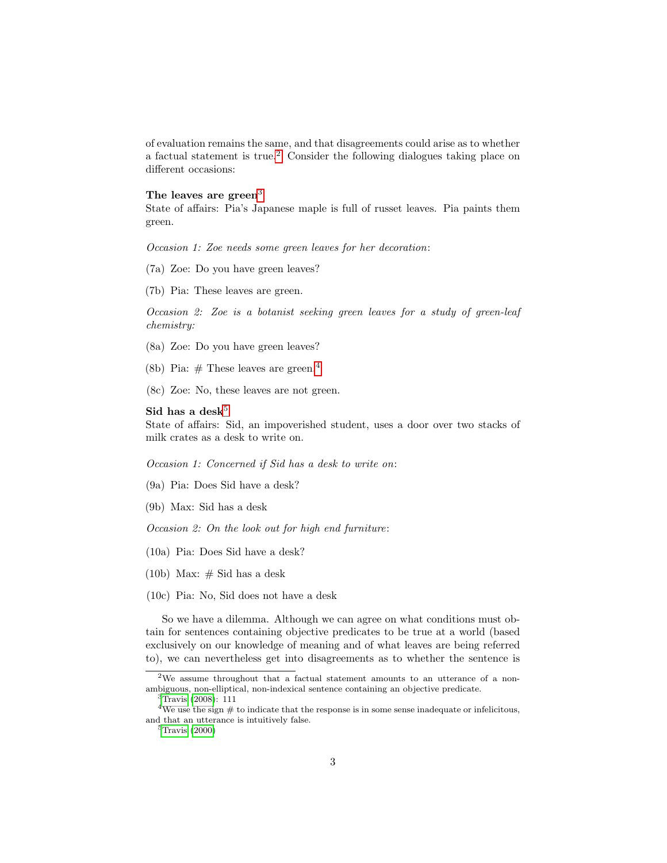of evaluation remains the same, and that disagreements could arise as to whether a factual statement is true.[2](#page-2-0) Consider the following dialogues taking place on different occasions:

#### The leaves are green<sup>[3](#page-2-1)</sup>

State of affairs: Pia's Japanese maple is full of russet leaves. Pia paints them green.

Occasion 1: Zoe needs some green leaves for her decoration:

- (7a) Zoe: Do you have green leaves?
- (7b) Pia: These leaves are green.

Occasion 2: Zoe is a botanist seeking green leaves for a study of green-leaf chemistry:

- (8a) Zoe: Do you have green leaves?
- (8b) Pia:  $#$  These leaves are green.<sup>[4](#page-2-2)</sup>
- (8c) Zoe: No, these leaves are not green.

#### Sid has a desk $5$

State of affairs: Sid, an impoverished student, uses a door over two stacks of milk crates as a desk to write on.

Occasion 1: Concerned if Sid has a desk to write on:

- (9a) Pia: Does Sid have a desk?
- (9b) Max: Sid has a desk

Occasion 2: On the look out for high end furniture:

- (10a) Pia: Does Sid have a desk?
- (10b) Max:  $\#$  Sid has a desk
- (10c) Pia: No, Sid does not have a desk

So we have a dilemma. Although we can agree on what conditions must obtain for sentences containing objective predicates to be true at a world (based exclusively on our knowledge of meaning and of what leaves are being referred to), we can nevertheless get into disagreements as to whether the sentence is

<span id="page-2-3"></span> ${}^{5}$ [Travis](#page-28-0) [\(2000\)](#page-28-0)

<span id="page-2-0"></span> $2$ We assume throughout that a factual statement amounts to an utterance of a nonambiguous, non-elliptical, non-indexical sentence containing an objective predicate.

<span id="page-2-2"></span><span id="page-2-1"></span><sup>3</sup>[Travis](#page-28-1) [\(2008\)](#page-28-1): 111

 ${}^{4}\mathrm{We}$  use the sign  $\#$  to indicate that the response is in some sense inadequate or infelicitous, and that an utterance is intuitively false.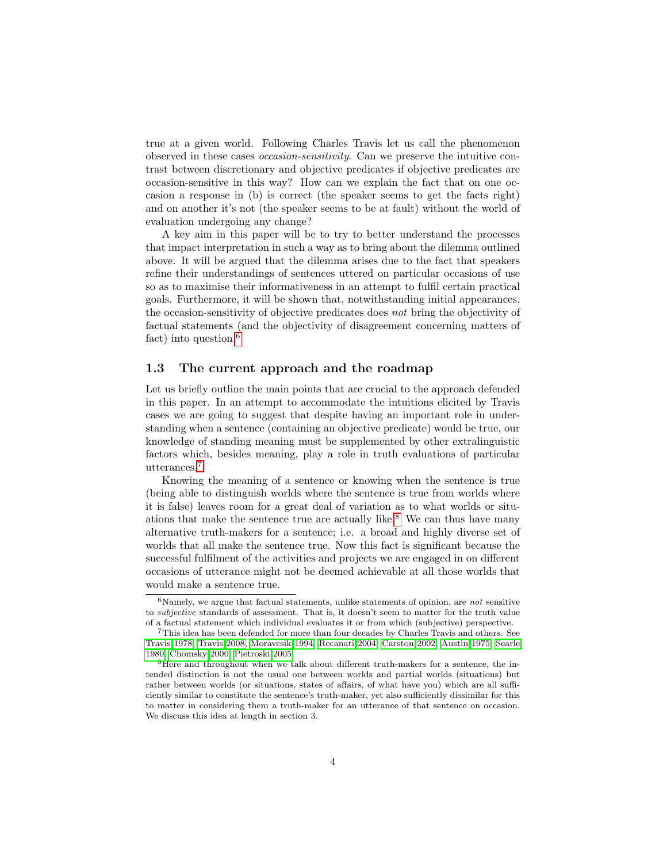true at a given world. Following Charles Travis let us call the phenomenon observed in these cases occasion-sensitivity. Can we preserve the intuitive contrast between discretionary and objective predicates if objective predicates are occasion-sensitive in this way? How can we explain the fact that on one occasion a response in (b) is correct (the speaker seems to get the facts right) and on another it's not (the speaker seems to be at fault) without the world of evaluation undergoing any change?

A key aim in this paper will be to try to better understand the processes that impact interpretation in such a way as to bring about the dilemma outlined above. It will be argued that the dilemma arises due to the fact that speakers refine their understandings of sentences uttered on particular occasions of use so as to maximise their informativeness in an attempt to fulfil certain practical goals. Furthermore, it will be shown that, notwithstanding initial appearances, the occasion-sensitivity of objective predicates does not bring the objectivity of factual statements (and the objectivity of disagreement concerning matters of fact) into question.<sup>[6](#page-3-0)</sup>

### 1.3 The current approach and the roadmap

Let us briefly outline the main points that are crucial to the approach defended in this paper. In an attempt to accommodate the intuitions elicited by Travis cases we are going to suggest that despite having an important role in understanding when a sentence (containing an objective predicate) would be true, our knowledge of standing meaning must be supplemented by other extralinguistic factors which, besides meaning, play a role in truth evaluations of particular utterances.[7](#page-3-1)

Knowing the meaning of a sentence or knowing when the sentence is true (being able to distinguish worlds where the sentence is true from worlds where it is false) leaves room for a great deal of variation as to what worlds or situ-ations that make the sentence true are actually like.<sup>[8](#page-3-2)</sup> We can thus have many alternative truth-makers for a sentence; i.e. a broad and highly diverse set of worlds that all make the sentence true. Now this fact is significant because the successful fulfilment of the activities and projects we are engaged in on different occasions of utterance might not be deemed achievable at all those worlds that would make a sentence true.

<span id="page-3-0"></span><sup>&</sup>lt;sup>6</sup>Namely, we argue that factual statements, unlike statements of opinion, are *not* sensitive to subjective standards of assessment. That is, it doesn't seem to matter for the truth value of a factual statement which individual evaluates it or from which (subjective) perspective.

<span id="page-3-1"></span><sup>7</sup>This idea has been defended for more than four decades by Charles Travis and others. See [Travis 1978,](#page-27-0) [Travis 2008,](#page-28-1) [Moravcsik 1994,](#page-26-6) [Recanati 2004,](#page-27-2) [Carston 2002,](#page-25-0) [Austin 1975,](#page-25-1) [Searle](#page-27-3) [1980,](#page-27-3) [Chomsky 2000,](#page-25-2) [Pietroski 2005.](#page-27-4)

<span id="page-3-2"></span><sup>8</sup>Here and throughout when we talk about different truth-makers for a sentence, the intended distinction is not the usual one between worlds and partial worlds (situations) but rather between worlds (or situations, states of affairs, of what have you) which are all sufficiently similar to constitute the sentence's truth-maker, yet also sufficiently dissimilar for this to matter in considering them a truth-maker for an utterance of that sentence on occasion. We discuss this idea at length in section 3.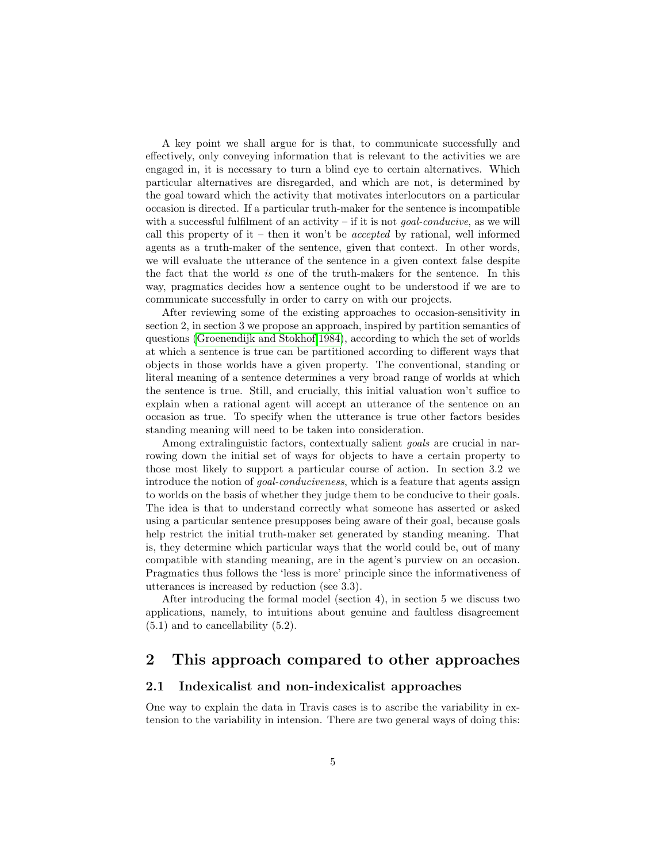A key point we shall argue for is that, to communicate successfully and effectively, only conveying information that is relevant to the activities we are engaged in, it is necessary to turn a blind eye to certain alternatives. Which particular alternatives are disregarded, and which are not, is determined by the goal toward which the activity that motivates interlocutors on a particular occasion is directed. If a particular truth-maker for the sentence is incompatible with a successful fulfilment of an activity – if it is not *goal-conducive*, as we will call this property of it – then it won't be *accepted* by rational, well informed agents as a truth-maker of the sentence, given that context. In other words, we will evaluate the utterance of the sentence in a given context false despite the fact that the world is one of the truth-makers for the sentence. In this way, pragmatics decides how a sentence ought to be understood if we are to communicate successfully in order to carry on with our projects.

After reviewing some of the existing approaches to occasion-sensitivity in section 2, in section 3 we propose an approach, inspired by partition semantics of questions [\(Groenendijk and Stokhof 1984\)](#page-26-0), according to which the set of worlds at which a sentence is true can be partitioned according to different ways that objects in those worlds have a given property. The conventional, standing or literal meaning of a sentence determines a very broad range of worlds at which the sentence is true. Still, and crucially, this initial valuation won't suffice to explain when a rational agent will accept an utterance of the sentence on an occasion as true. To specify when the utterance is true other factors besides standing meaning will need to be taken into consideration.

Among extralinguistic factors, contextually salient *goals* are crucial in narrowing down the initial set of ways for objects to have a certain property to those most likely to support a particular course of action. In section 3.2 we introduce the notion of goal-conduciveness, which is a feature that agents assign to worlds on the basis of whether they judge them to be conducive to their goals. The idea is that to understand correctly what someone has asserted or asked using a particular sentence presupposes being aware of their goal, because goals help restrict the initial truth-maker set generated by standing meaning. That is, they determine which particular ways that the world could be, out of many compatible with standing meaning, are in the agent's purview on an occasion. Pragmatics thus follows the 'less is more' principle since the informativeness of utterances is increased by reduction (see 3.3).

After introducing the formal model (section 4), in section 5 we discuss two applications, namely, to intuitions about genuine and faultless disagreement  $(5.1)$  and to cancellability  $(5.2)$ .

## 2 This approach compared to other approaches

### 2.1 Indexicalist and non-indexicalist approaches

One way to explain the data in Travis cases is to ascribe the variability in extension to the variability in intension. There are two general ways of doing this: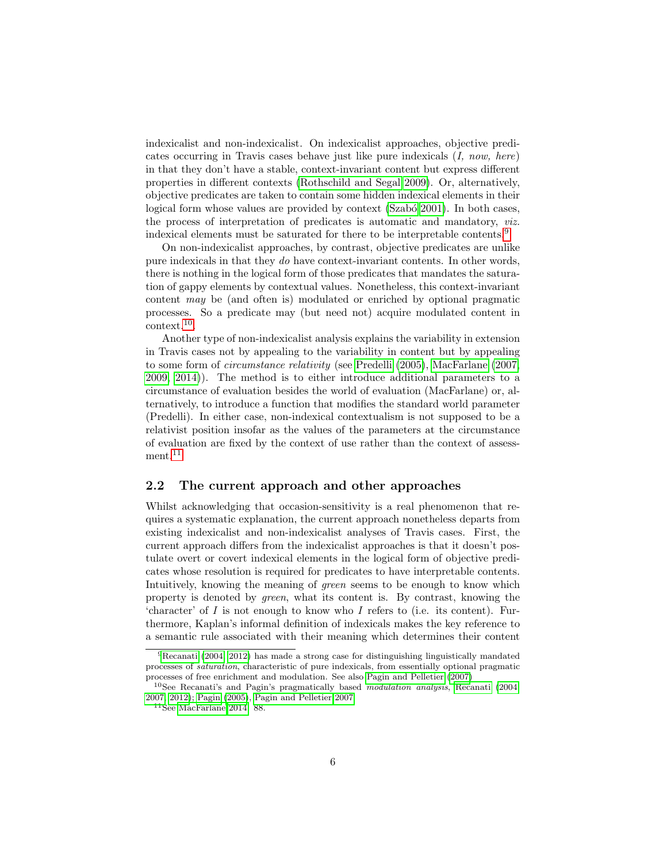indexicalist and non-indexicalist. On indexicalist approaches, objective predicates occurring in Travis cases behave just like pure indexicals (I, now, here) in that they don't have a stable, context-invariant content but express different properties in different contexts [\(Rothschild and Segal 2009\)](#page-27-5). Or, alternatively, objective predicates are taken to contain some hidden indexical elements in their logical form whose values are provided by context (Szabó 2001). In both cases, the process of interpretation of predicates is automatic and mandatory, viz. indexical elements must be saturated for there to be interpretable contents.[9](#page-5-0)

On non-indexicalist approaches, by contrast, objective predicates are unlike pure indexicals in that they do have context-invariant contents. In other words, there is nothing in the logical form of those predicates that mandates the saturation of gappy elements by contextual values. Nonetheless, this context-invariant content may be (and often is) modulated or enriched by optional pragmatic processes. So a predicate may (but need not) acquire modulated content in context.[10](#page-5-1) .

Another type of non-indexicalist analysis explains the variability in extension in Travis cases not by appealing to the variability in content but by appealing to some form of circumstance relativity (see [Predelli \(2005\)](#page-27-7), [MacFarlane \(2007,](#page-26-7) [2009,](#page-26-8) [2014\)](#page-26-4)). The method is to either introduce additional parameters to a circumstance of evaluation besides the world of evaluation (MacFarlane) or, alternatively, to introduce a function that modifies the standard world parameter (Predelli). In either case, non-indexical contextualism is not supposed to be a relativist position insofar as the values of the parameters at the circumstance of evaluation are fixed by the context of use rather than the context of assess-ment.<sup>[11](#page-5-2)</sup>

## 2.2 The current approach and other approaches

Whilst acknowledging that occasion-sensitivity is a real phenomenon that requires a systematic explanation, the current approach nonetheless departs from existing indexicalist and non-indexicalist analyses of Travis cases. First, the current approach differs from the indexicalist approaches is that it doesn't postulate overt or covert indexical elements in the logical form of objective predicates whose resolution is required for predicates to have interpretable contents. Intuitively, knowing the meaning of green seems to be enough to know which property is denoted by green, what its content is. By contrast, knowing the 'character' of  $I$  is not enough to know who  $I$  refers to (i.e. its content). Furthermore, Kaplan's informal definition of indexicals makes the key reference to a semantic rule associated with their meaning which determines their content

<span id="page-5-0"></span><sup>9</sup>[Recanati](#page-27-2) [\(2004,](#page-27-2) [2012\)](#page-27-8) has made a strong case for distinguishing linguistically mandated processes of saturation, characteristic of pure indexicals, from essentially optional pragmatic processes of free enrichment and modulation. See also [Pagin and Pelletier](#page-27-9) [\(2007\)](#page-27-9)

<span id="page-5-1"></span><sup>10</sup>See Recanati's and Pagin's pragmatically based modulation analysis, [Recanati](#page-27-2) [\(2004,](#page-27-2) [2007,](#page-27-10) [2012\)](#page-27-8); [Pagin](#page-27-11) [\(2005\)](#page-27-11), [Pagin and Pelletier 2007](#page-27-9)

<span id="page-5-2"></span> $11$ See [MacFarlane 2014:](#page-26-4) 88.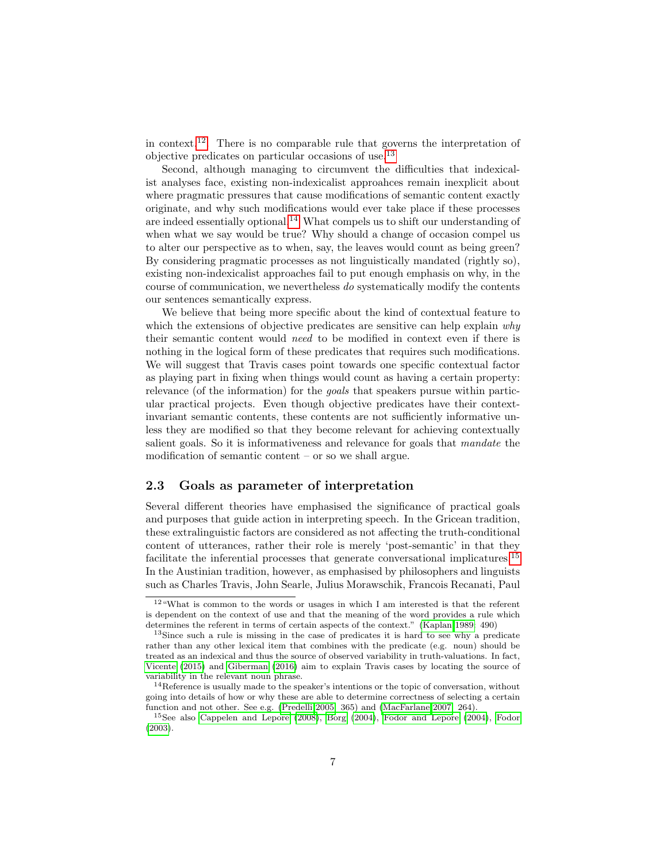in context.<sup>[12](#page-6-0)</sup>. There is no comparable rule that governs the interpretation of objective predicates on particular occasions of use.[13](#page-6-1)

Second, although managing to circumvent the difficulties that indexicalist analyses face, existing non-indexicalist approahces remain inexplicit about where pragmatic pressures that cause modifications of semantic content exactly originate, and why such modifications would ever take place if these processes are indeed essentially optional.<sup>[14](#page-6-2)</sup> What compels us to shift our understanding of when what we say would be true? Why should a change of occasion compel us to alter our perspective as to when, say, the leaves would count as being green? By considering pragmatic processes as not linguistically mandated (rightly so), existing non-indexicalist approaches fail to put enough emphasis on why, in the course of communication, we nevertheless do systematically modify the contents our sentences semantically express.

We believe that being more specific about the kind of contextual feature to which the extensions of objective predicates are sensitive can help explain why their semantic content would need to be modified in context even if there is nothing in the logical form of these predicates that requires such modifications. We will suggest that Travis cases point towards one specific contextual factor as playing part in fixing when things would count as having a certain property: relevance (of the information) for the *goals* that speakers pursue within particular practical projects. Even though objective predicates have their contextinvariant semantic contents, these contents are not sufficiently informative unless they are modified so that they become relevant for achieving contextually salient goals. So it is informativeness and relevance for goals that mandate the modification of semantic content – or so we shall argue.

## 2.3 Goals as parameter of interpretation

Several different theories have emphasised the significance of practical goals and purposes that guide action in interpreting speech. In the Gricean tradition, these extralinguistic factors are considered as not affecting the truth-conditional content of utterances, rather their role is merely 'post-semantic' in that they facilitate the inferential processes that generate conversational implicatures.<sup>[15](#page-6-3)</sup> In the Austinian tradition, however, as emphasised by philosophers and linguists such as Charles Travis, John Searle, Julius Morawschik, Francois Recanati, Paul

<span id="page-6-0"></span><sup>12</sup>"What is common to the words or usages in which I am interested is that the referent is dependent on the context of use and that the meaning of the word provides a rule which determines the referent in terms of certain aspects of the context." [\(Kaplan 1989:](#page-26-9) 490)

<span id="page-6-1"></span><sup>13</sup>Since such a rule is missing in the case of predicates it is hard to see why a predicate rather than any other lexical item that combines with the predicate (e.g. noun) should be treated as an indexical and thus the source of observed variability in truth-valuations. In fact, [Vicente](#page-28-3) [\(2015\)](#page-28-3) and [Giberman](#page-26-10) [\(2016\)](#page-26-10) aim to explain Travis cases by locating the source of variability in the relevant noun phrase.

<span id="page-6-2"></span><sup>&</sup>lt;sup>14</sup>Reference is usually made to the speaker's intentions or the topic of conversation, without going into details of how or why these are able to determine correctness of selecting a certain function and not other. See e.g. [\(Predelli 2005:](#page-27-7) 365) and [\(MacFarlane 2007:](#page-26-7) 264).

<span id="page-6-3"></span><sup>15</sup>See also [Cappelen and Lepore](#page-25-3) [\(2008\)](#page-25-3), [Borg](#page-25-4) [\(2004\)](#page-25-4), [Fodor and Lepore](#page-26-11) [\(2004\)](#page-26-11), [Fodor](#page-26-12) [\(2003\)](#page-26-12).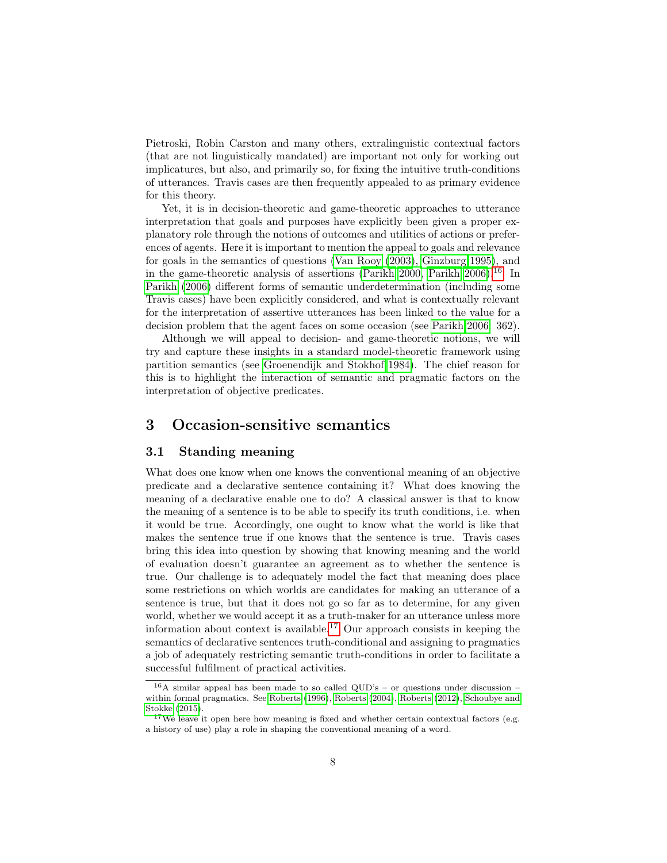Pietroski, Robin Carston and many others, extralinguistic contextual factors (that are not linguistically mandated) are important not only for working out implicatures, but also, and primarily so, for fixing the intuitive truth-conditions of utterances. Travis cases are then frequently appealed to as primary evidence for this theory.

Yet, it is in decision-theoretic and game-theoretic approaches to utterance interpretation that goals and purposes have explicitly been given a proper explanatory role through the notions of outcomes and utilities of actions or preferences of agents. Here it is important to mention the appeal to goals and relevance for goals in the semantics of questions [\(Van Rooy \(2003\)](#page-28-4), [Ginzburg 1995\)](#page-26-13), and in the game-theoretic analysis of assertions [\(Parikh 2000,](#page-27-12) [Parikh 2006\)](#page-27-13).<sup>[16](#page-7-0)</sup> In [Parikh \(2006\)](#page-27-13) different forms of semantic underdetermination (including some Travis cases) have been explicitly considered, and what is contextually relevant for the interpretation of assertive utterances has been linked to the value for a decision problem that the agent faces on some occasion (see [Parikh 2006:](#page-27-13) 362).

Although we will appeal to decision- and game-theoretic notions, we will try and capture these insights in a standard model-theoretic framework using partition semantics (see [Groenendijk and Stokhof 1984\)](#page-26-0). The chief reason for this is to highlight the interaction of semantic and pragmatic factors on the interpretation of objective predicates.

## 3 Occasion-sensitive semantics

## 3.1 Standing meaning

What does one know when one knows the conventional meaning of an objective predicate and a declarative sentence containing it? What does knowing the meaning of a declarative enable one to do? A classical answer is that to know the meaning of a sentence is to be able to specify its truth conditions, i.e. when it would be true. Accordingly, one ought to know what the world is like that makes the sentence true if one knows that the sentence is true. Travis cases bring this idea into question by showing that knowing meaning and the world of evaluation doesn't guarantee an agreement as to whether the sentence is true. Our challenge is to adequately model the fact that meaning does place some restrictions on which worlds are candidates for making an utterance of a sentence is true, but that it does not go so far as to determine, for any given world, whether we would accept it as a truth-maker for an utterance unless more information about context is available.<sup>[17](#page-7-1)</sup> Our approach consists in keeping the semantics of declarative sentences truth-conditional and assigning to pragmatics a job of adequately restricting semantic truth-conditions in order to facilitate a successful fulfilment of practical activities.

<span id="page-7-0"></span> $16A$  similar appeal has been made to so called QUD's – or questions under discussion – within formal pragmatics. See [Roberts](#page-27-14) [\(1996\)](#page-27-14), [Roberts](#page-27-15) [\(2004\)](#page-27-15), [Roberts](#page-27-16) [\(2012\)](#page-27-16), [Schoubye and](#page-27-17) [Stokke](#page-27-17) [\(2015\)](#page-27-17).

<span id="page-7-1"></span> $17$ We leave it open here how meaning is fixed and whether certain contextual factors (e.g. a history of use) play a role in shaping the conventional meaning of a word.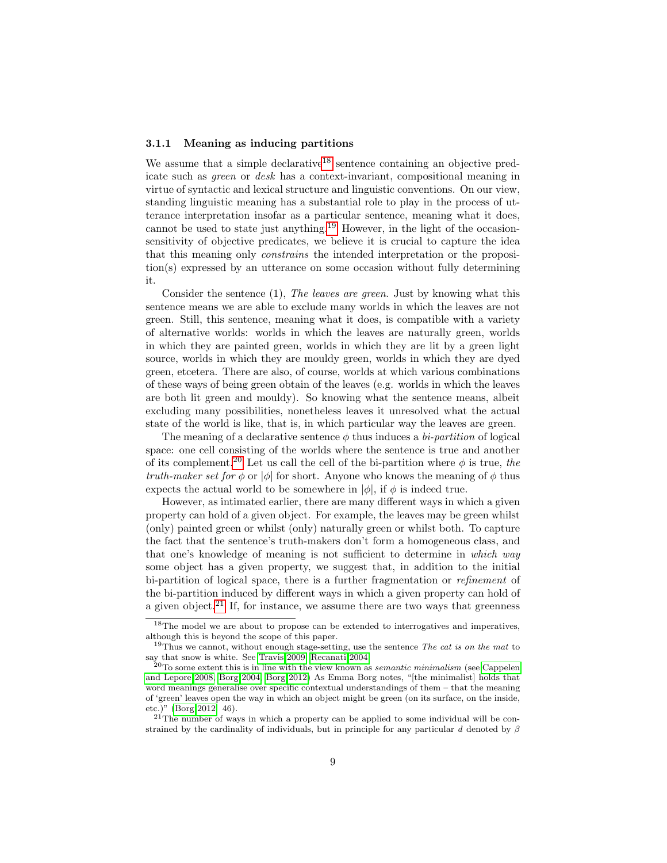## 3.1.1 Meaning as inducing partitions

We assume that a simple declarative<sup>[18](#page-8-0)</sup> sentence containing an objective predicate such as green or desk has a context-invariant, compositional meaning in virtue of syntactic and lexical structure and linguistic conventions. On our view, standing linguistic meaning has a substantial role to play in the process of utterance interpretation insofar as a particular sentence, meaning what it does, cannot be used to state just anything.[19](#page-8-1) However, in the light of the occasionsensitivity of objective predicates, we believe it is crucial to capture the idea that this meaning only constrains the intended interpretation or the proposition(s) expressed by an utterance on some occasion without fully determining it.

Consider the sentence (1), The leaves are green. Just by knowing what this sentence means we are able to exclude many worlds in which the leaves are not green. Still, this sentence, meaning what it does, is compatible with a variety of alternative worlds: worlds in which the leaves are naturally green, worlds in which they are painted green, worlds in which they are lit by a green light source, worlds in which they are mouldy green, worlds in which they are dyed green, etcetera. There are also, of course, worlds at which various combinations of these ways of being green obtain of the leaves (e.g. worlds in which the leaves are both lit green and mouldy). So knowing what the sentence means, albeit excluding many possibilities, nonetheless leaves it unresolved what the actual state of the world is like, that is, in which particular way the leaves are green.

The meaning of a declarative sentence  $\phi$  thus induces a *bi-partition* of logical space: one cell consisting of the worlds where the sentence is true and another of its complement.<sup>[20](#page-8-2)</sup> Let us call the cell of the bi-partition where  $\phi$  is true, the truth-maker set for  $\phi$  or  $|\phi|$  for short. Anyone who knows the meaning of  $\phi$  thus expects the actual world to be somewhere in  $|\phi|$ , if  $\phi$  is indeed true.

However, as intimated earlier, there are many different ways in which a given property can hold of a given object. For example, the leaves may be green whilst (only) painted green or whilst (only) naturally green or whilst both. To capture the fact that the sentence's truth-makers don't form a homogeneous class, and that one's knowledge of meaning is not sufficient to determine in which way some object has a given property, we suggest that, in addition to the initial bi-partition of logical space, there is a further fragmentation or refinement of the bi-partition induced by different ways in which a given property can hold of a given object.<sup>[21](#page-8-3)</sup> If, for instance, we assume there are two ways that greenness

<span id="page-8-0"></span> $^{18}{\rm The}$  model we are about to propose can be extended to interrogatives and imperatives, although this is beyond the scope of this paper.

<span id="page-8-1"></span><sup>&</sup>lt;sup>19</sup>Thus we cannot, without enough stage-setting, use the sentence *The cat is on the mat* to say that snow is white. See [Travis 2009,](#page-28-2) [Recanati 2004.](#page-27-2)

<span id="page-8-2"></span> ${}^{0}$ To some extent this is in line with the view known as *semantic minimalism* (see [Cappelen](#page-25-3) [and Lepore 2008,](#page-25-3) [Borg 2004,](#page-25-4) [Borg 2012\)](#page-25-5) As Emma Borg notes, "[the minimalist] holds that word meanings generalise over specific contextual understandings of them – that the meaning of 'green' leaves open the way in which an object might be green (on its surface, on the inside, etc.)" [\(Borg 2012:](#page-25-5) 46).

<span id="page-8-3"></span> $21$ The number of ways in which a property can be applied to some individual will be constrained by the cardinality of individuals, but in principle for any particular  $d$  denoted by  $\beta$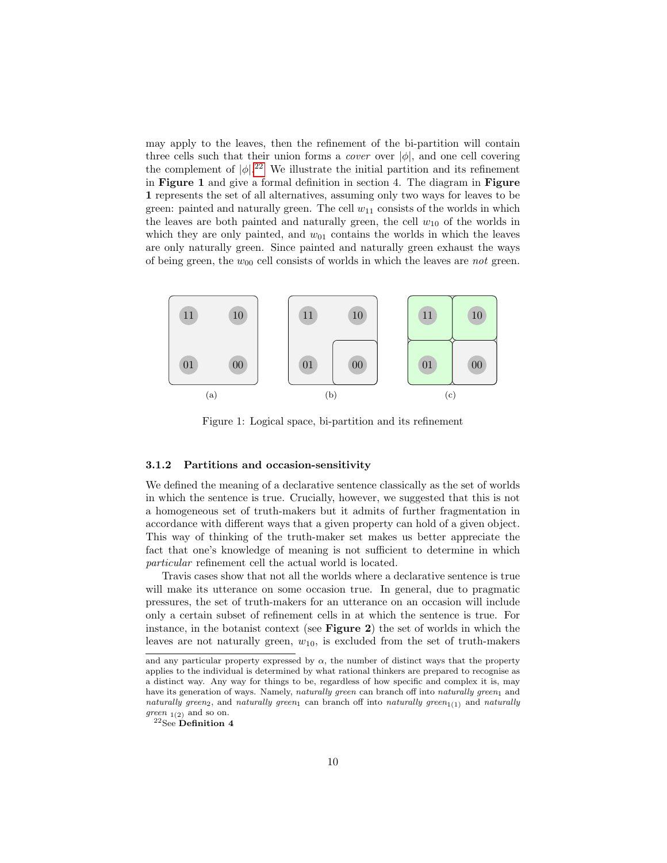may apply to the leaves, then the refinement of the bi-partition will contain three cells such that their union forms a *cover* over  $|\phi|$ , and one cell covering the complement of  $|\phi|^{22}$  $|\phi|^{22}$  $|\phi|^{22}$  We illustrate the initial partition and its refinement in Figure 1 and give a formal definition in section 4. The diagram in Figure 1 represents the set of all alternatives, assuming only two ways for leaves to be green: painted and naturally green. The cell  $w_{11}$  consists of the worlds in which the leaves are both painted and naturally green, the cell  $w_{10}$  of the worlds in which they are only painted, and  $w_{01}$  contains the worlds in which the leaves are only naturally green. Since painted and naturally green exhaust the ways of being green, the  $w_{00}$  cell consists of worlds in which the leaves are *not* green.



Figure 1: Logical space, bi-partition and its refinement

#### 3.1.2 Partitions and occasion-sensitivity

We defined the meaning of a declarative sentence classically as the set of worlds in which the sentence is true. Crucially, however, we suggested that this is not a homogeneous set of truth-makers but it admits of further fragmentation in accordance with different ways that a given property can hold of a given object. This way of thinking of the truth-maker set makes us better appreciate the fact that one's knowledge of meaning is not sufficient to determine in which particular refinement cell the actual world is located.

Travis cases show that not all the worlds where a declarative sentence is true will make its utterance on some occasion true. In general, due to pragmatic pressures, the set of truth-makers for an utterance on an occasion will include only a certain subset of refinement cells in at which the sentence is true. For instance, in the botanist context (see Figure 2) the set of worlds in which the leaves are not naturally green,  $w_{10}$ , is excluded from the set of truth-makers

and any particular property expressed by  $\alpha$ , the number of distinct ways that the property applies to the individual is determined by what rational thinkers are prepared to recognise as a distinct way. Any way for things to be, regardless of how specific and complex it is, may have its generation of ways. Namely, naturally green can branch off into naturally green<sub>1</sub> and naturally green<sub>2</sub>, and naturally green<sub>1</sub> can branch off into naturally green<sub>1(1)</sub> and naturally green  $_{1(2)}$  and so on.

<span id="page-9-0"></span> $22$ See Definition 4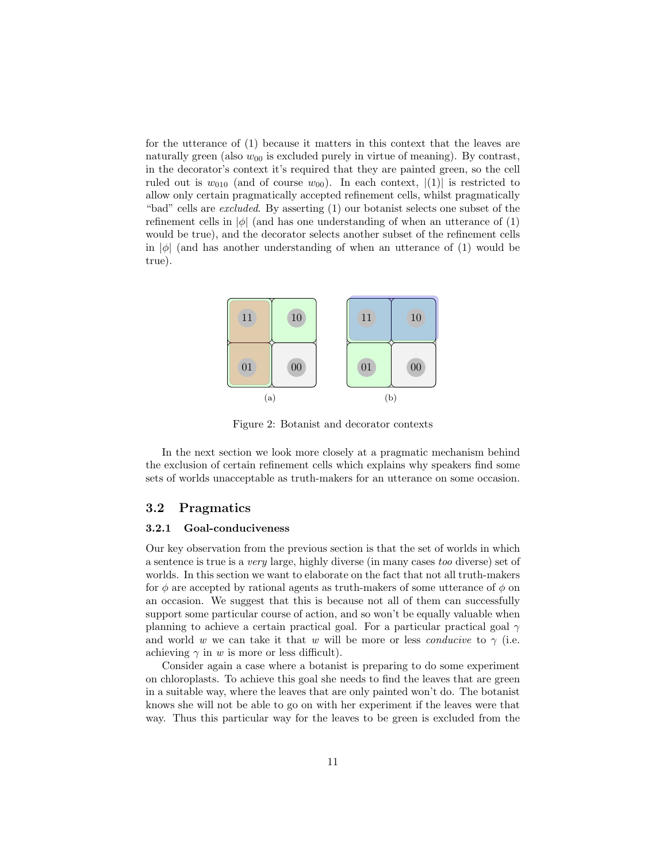for the utterance of (1) because it matters in this context that the leaves are naturally green (also  $w_{00}$  is excluded purely in virtue of meaning). By contrast, in the decorator's context it's required that they are painted green, so the cell ruled out is  $w_{010}$  (and of course  $w_{00}$ ). In each context,  $|(1)|$  is restricted to allow only certain pragmatically accepted refinement cells, whilst pragmatically "bad" cells are excluded. By asserting (1) our botanist selects one subset of the refinement cells in  $|\phi|$  (and has one understanding of when an utterance of (1) would be true), and the decorator selects another subset of the refinement cells in  $|\phi|$  (and has another understanding of when an utterance of (1) would be true).



Figure 2: Botanist and decorator contexts

In the next section we look more closely at a pragmatic mechanism behind the exclusion of certain refinement cells which explains why speakers find some sets of worlds unacceptable as truth-makers for an utterance on some occasion.

#### 3.2 Pragmatics

#### 3.2.1 Goal-conduciveness

Our key observation from the previous section is that the set of worlds in which a sentence is true is a very large, highly diverse (in many cases too diverse) set of worlds. In this section we want to elaborate on the fact that not all truth-makers for  $\phi$  are accepted by rational agents as truth-makers of some utterance of  $\phi$  on an occasion. We suggest that this is because not all of them can successfully support some particular course of action, and so won't be equally valuable when planning to achieve a certain practical goal. For a particular practical goal  $\gamma$ and world w we can take it that w will be more or less *conducive* to  $\gamma$  (i.e. achieving  $\gamma$  in w is more or less difficult).

Consider again a case where a botanist is preparing to do some experiment on chloroplasts. To achieve this goal she needs to find the leaves that are green in a suitable way, where the leaves that are only painted won't do. The botanist knows she will not be able to go on with her experiment if the leaves were that way. Thus this particular way for the leaves to be green is excluded from the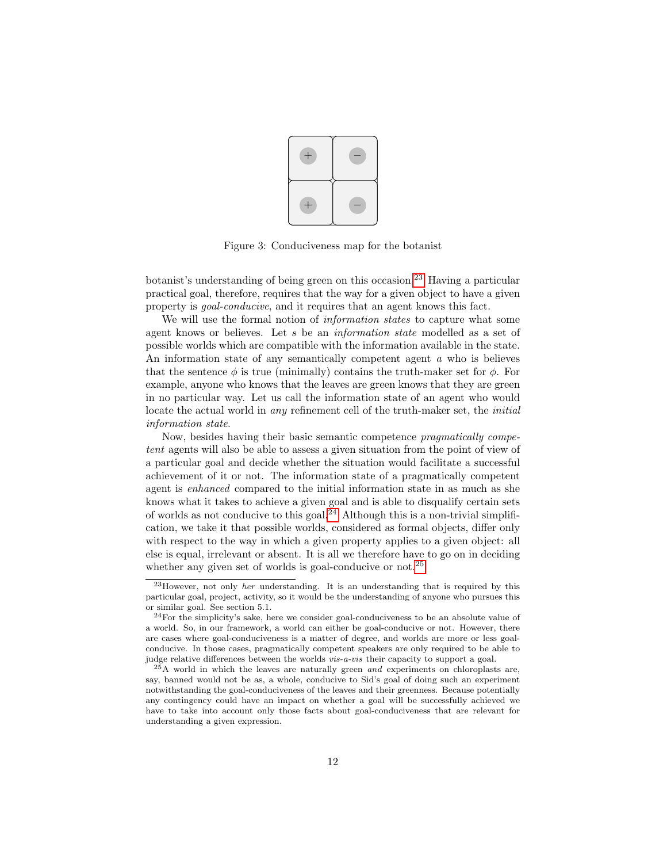

Figure 3: Conduciveness map for the botanist

botanist's understanding of being green on this occasion.[23](#page-11-0) Having a particular practical goal, therefore, requires that the way for a given object to have a given property is goal-conducive, and it requires that an agent knows this fact.

We will use the formal notion of *information states* to capture what some agent knows or believes. Let s be an information state modelled as a set of possible worlds which are compatible with the information available in the state. An information state of any semantically competent agent a who is believes that the sentence  $\phi$  is true (minimally) contains the truth-maker set for  $\phi$ . For example, anyone who knows that the leaves are green knows that they are green in no particular way. Let us call the information state of an agent who would locate the actual world in *any* refinement cell of the truth-maker set, the *initial* information state.

Now, besides having their basic semantic competence *pragmatically compe*tent agents will also be able to assess a given situation from the point of view of a particular goal and decide whether the situation would facilitate a successful achievement of it or not. The information state of a pragmatically competent agent is enhanced compared to the initial information state in as much as she knows what it takes to achieve a given goal and is able to disqualify certain sets of worlds as not conducive to this goal.<sup>[24](#page-11-1)</sup> Although this is a non-trivial simplification, we take it that possible worlds, considered as formal objects, differ only with respect to the way in which a given property applies to a given object: all else is equal, irrelevant or absent. It is all we therefore have to go on in deciding whether any given set of worlds is goal-conducive or not.<sup>[25](#page-11-2)</sup>

<span id="page-11-0"></span><sup>23</sup>However, not only her understanding. It is an understanding that is required by this particular goal, project, activity, so it would be the understanding of anyone who pursues this or similar goal. See section 5.1.

<span id="page-11-1"></span><sup>24</sup>For the simplicity's sake, here we consider goal-conduciveness to be an absolute value of a world. So, in our framework, a world can either be goal-conducive or not. However, there are cases where goal-conduciveness is a matter of degree, and worlds are more or less goalconducive. In those cases, pragmatically competent speakers are only required to be able to judge relative differences between the worlds vis-a-vis their capacity to support a goal.

<span id="page-11-2"></span> $^{25}$ A world in which the leaves are naturally green and experiments on chloroplasts are, say, banned would not be as, a whole, conducive to Sid's goal of doing such an experiment notwithstanding the goal-conduciveness of the leaves and their greenness. Because potentially any contingency could have an impact on whether a goal will be successfully achieved we have to take into account only those facts about goal-conduciveness that are relevant for understanding a given expression.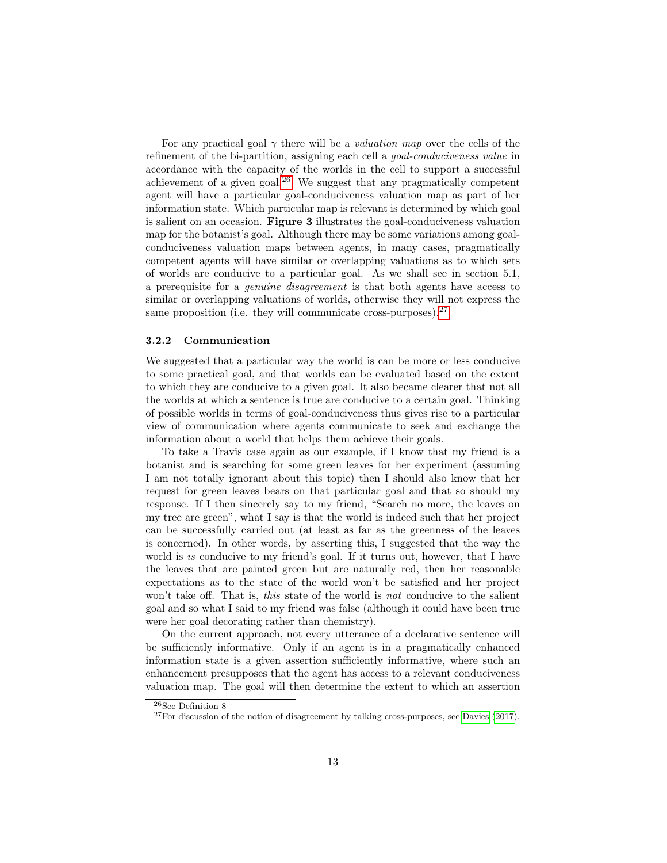For any practical goal  $\gamma$  there will be a *valuation map* over the cells of the refinement of the bi-partition, assigning each cell a goal-conduciveness value in accordance with the capacity of the worlds in the cell to support a successful achievement of a given goal. $^{26}$  $^{26}$  $^{26}$  We suggest that any pragmatically competent agent will have a particular goal-conduciveness valuation map as part of her information state. Which particular map is relevant is determined by which goal is salient on an occasion. Figure 3 illustrates the goal-conduciveness valuation map for the botanist's goal. Although there may be some variations among goalconduciveness valuation maps between agents, in many cases, pragmatically competent agents will have similar or overlapping valuations as to which sets of worlds are conducive to a particular goal. As we shall see in section 5.1, a prerequisite for a genuine disagreement is that both agents have access to similar or overlapping valuations of worlds, otherwise they will not express the same proposition (i.e. they will communicate cross-purposes).  $27$ 

#### 3.2.2 Communication

We suggested that a particular way the world is can be more or less conducive to some practical goal, and that worlds can be evaluated based on the extent to which they are conducive to a given goal. It also became clearer that not all the worlds at which a sentence is true are conducive to a certain goal. Thinking of possible worlds in terms of goal-conduciveness thus gives rise to a particular view of communication where agents communicate to seek and exchange the information about a world that helps them achieve their goals.

To take a Travis case again as our example, if I know that my friend is a botanist and is searching for some green leaves for her experiment (assuming I am not totally ignorant about this topic) then I should also know that her request for green leaves bears on that particular goal and that so should my response. If I then sincerely say to my friend, "Search no more, the leaves on my tree are green", what I say is that the world is indeed such that her project can be successfully carried out (at least as far as the greenness of the leaves is concerned). In other words, by asserting this, I suggested that the way the world is is conducive to my friend's goal. If it turns out, however, that I have the leaves that are painted green but are naturally red, then her reasonable expectations as to the state of the world won't be satisfied and her project won't take off. That is, this state of the world is not conducive to the salient goal and so what I said to my friend was false (although it could have been true were her goal decorating rather than chemistry).

On the current approach, not every utterance of a declarative sentence will be sufficiently informative. Only if an agent is in a pragmatically enhanced information state is a given assertion sufficiently informative, where such an enhancement presupposes that the agent has access to a relevant conduciveness valuation map. The goal will then determine the extent to which an assertion

<span id="page-12-0"></span> $^{26}\mathrm{See}$  Definition  $8$ 

<span id="page-12-1"></span> $27$  For discussion of the notion of disagreement by talking cross-purposes, see [Davies](#page-26-14) [\(2017\)](#page-26-14).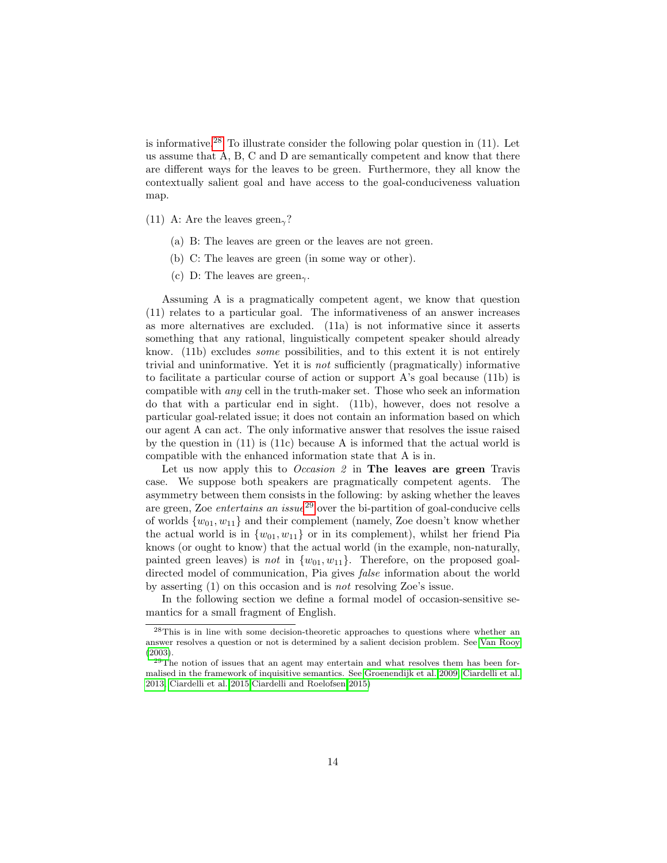is informative.<sup>[28](#page-13-0)</sup> To illustrate consider the following polar question in  $(11)$ . Let us assume that A, B, C and D are semantically competent and know that there are different ways for the leaves to be green. Furthermore, they all know the contextually salient goal and have access to the goal-conduciveness valuation map.

- (11) A: Are the leaves green<sub> $\gamma$ </sub>?
	- (a) B: The leaves are green or the leaves are not green.
	- (b) C: The leaves are green (in some way or other).
	- (c) D: The leaves are green<sub> $\gamma$ </sub>.

Assuming A is a pragmatically competent agent, we know that question (11) relates to a particular goal. The informativeness of an answer increases as more alternatives are excluded. (11a) is not informative since it asserts something that any rational, linguistically competent speaker should already know. (11b) excludes some possibilities, and to this extent it is not entirely trivial and uninformative. Yet it is not sufficiently (pragmatically) informative to facilitate a particular course of action or support A's goal because (11b) is compatible with any cell in the truth-maker set. Those who seek an information do that with a particular end in sight. (11b), however, does not resolve a particular goal-related issue; it does not contain an information based on which our agent A can act. The only informative answer that resolves the issue raised by the question in (11) is (11c) because A is informed that the actual world is compatible with the enhanced information state that A is in.

Let us now apply this to *Occasion 2* in **The leaves are green** Travis case. We suppose both speakers are pragmatically competent agents. The asymmetry between them consists in the following: by asking whether the leaves are green, Zoe *entertains an issue*<sup>[29](#page-13-1)</sup> over the bi-partition of goal-conducive cells of worlds  $\{w_{01}, w_{11}\}\$  and their complement (namely, Zoe doesn't know whether the actual world is in  $\{w_{01}, w_{11}\}$  or in its complement), whilst her friend Pia knows (or ought to know) that the actual world (in the example, non-naturally, painted green leaves) is not in  $\{w_{01}, w_{11}\}$ . Therefore, on the proposed goaldirected model of communication, Pia gives false information about the world by asserting (1) on this occasion and is not resolving Zoe's issue.

In the following section we define a formal model of occasion-sensitive semantics for a small fragment of English.

<span id="page-13-0"></span><sup>28</sup>This is in line with some decision-theoretic approaches to questions where whether an answer resolves a question or not is determined by a salient decision problem. See [Van Rooy](#page-28-4) [\(2003\)](#page-28-4).

<span id="page-13-1"></span> $29$ The notion of issues that an agent may entertain and what resolves them has been formalised in the framework of inquisitive semantics. See [Groenendijk et al. 2009,](#page-26-15) [Ciardelli et al.](#page-25-6) [2013,](#page-25-6) [Ciardelli et al. 2015,](#page-26-16)[Ciardelli and Roelofsen 2015\)](#page-26-17)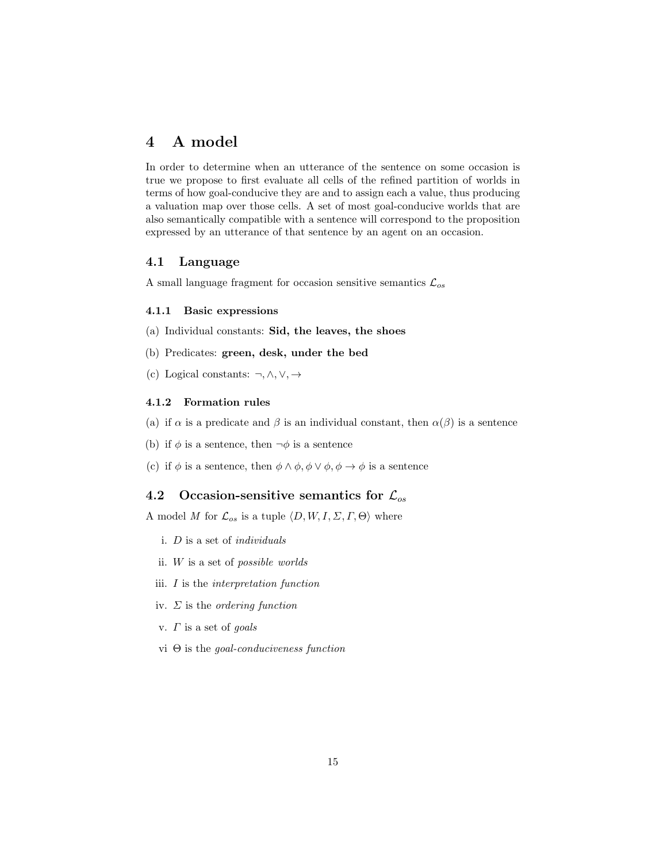## 4 A model

In order to determine when an utterance of the sentence on some occasion is true we propose to first evaluate all cells of the refined partition of worlds in terms of how goal-conducive they are and to assign each a value, thus producing a valuation map over those cells. A set of most goal-conducive worlds that are also semantically compatible with a sentence will correspond to the proposition expressed by an utterance of that sentence by an agent on an occasion.

## 4.1 Language

A small language fragment for occasion sensitive semantics  $\mathcal{L}_{os}$ 

### 4.1.1 Basic expressions

- (a) Individual constants: Sid, the leaves, the shoes
- (b) Predicates: green, desk, under the bed
- (c) Logical constants: ¬, ∧, ∨, →

## 4.1.2 Formation rules

- (a) if  $\alpha$  is a predicate and  $\beta$  is an individual constant, then  $\alpha(\beta)$  is a sentence
- (b) if  $\phi$  is a sentence, then  $\neg \phi$  is a sentence
- (c) if  $\phi$  is a sentence, then  $\phi \land \phi$ ,  $\phi \lor \phi$ ,  $\phi \to \phi$  is a sentence

## 4.2 Occasion-sensitive semantics for  $\mathcal{L}_{os}$

A model M for  $\mathcal{L}_{os}$  is a tuple  $\langle D, W, I, \Sigma, \Gamma, \Theta \rangle$  where

- i. D is a set of individuals
- ii. W is a set of possible worlds
- iii. I is the interpretation function
- iv.  $\Sigma$  is the *ordering function*
- v.  $\Gamma$  is a set of goals
- vi Θ is the goal-conduciveness function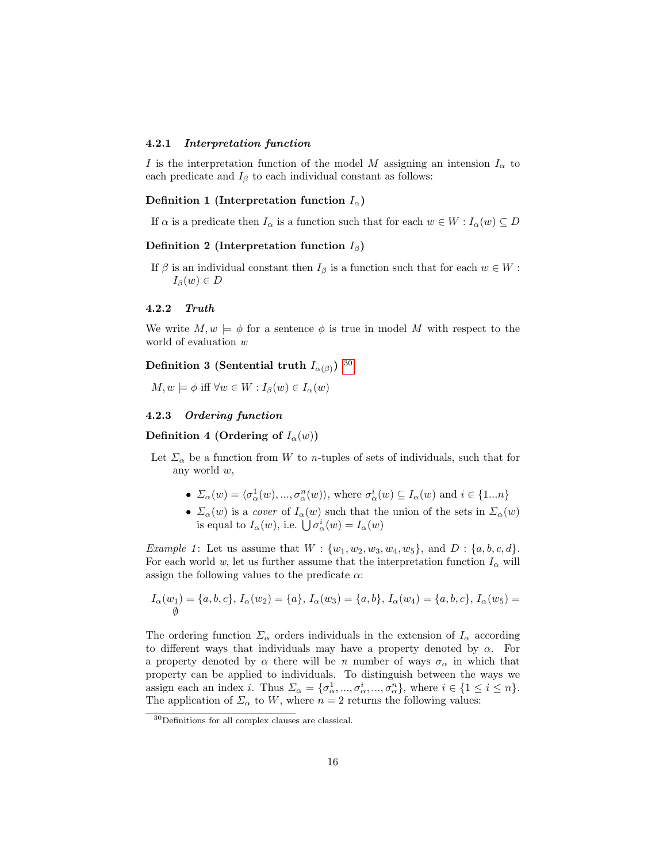#### 4.2.1 Interpretation function

I is the interpretation function of the model M assigning an intension  $I_{\alpha}$  to each predicate and  $I_\beta$  to each individual constant as follows:

#### Definition 1 (Interpretation function  $I_{\alpha}$ )

If  $\alpha$  is a predicate then  $I_{\alpha}$  is a function such that for each  $w \in W : I_{\alpha}(w) \subseteq D$ 

#### Definition 2 (Interpretation function  $I_\beta$ )

If  $\beta$  is an individual constant then  $I_{\beta}$  is a function such that for each  $w \in W$ :  $I_\beta(w) \in D$ 

#### 4.2.2 Truth

We write  $M, w \models \phi$  for a sentence  $\phi$  is true in model M with respect to the world of evaluation w

## Definition 3 (Sentential truth  $I_{\alpha(\beta)}$ )  $^{30}$  $^{30}$  $^{30}$

 $M, w \models \phi \text{ iff } \forall w \in W : I_{\beta}(w) \in I_{\alpha}(w)$ 

#### 4.2.3 Ordering function

Definition 4 (Ordering of  $I_{\alpha}(w)$ )

- Let  $\Sigma_{\alpha}$  be a function from W to n-tuples of sets of individuals, such that for any world w,
	- $\Sigma_{\alpha}(w) = \langle \sigma_{\alpha}^1(w), ..., \sigma_{\alpha}^n(w) \rangle$ , where  $\sigma_{\alpha}^i(w) \subseteq I_{\alpha}(w)$  and  $i \in \{1...n\}$
	- $\Sigma_\alpha(w)$  is a *cover* of  $I_\alpha(w)$  such that the union of the sets in  $\Sigma_\alpha(w)$ is equal to  $I_{\alpha}(w)$ , i.e.  $\bigcup \sigma_{\alpha}^{i}(w) = I_{\alpha}(w)$

*Example 1*: Let us assume that  $W: \{w_1, w_2, w_3, w_4, w_5\}$ , and  $D: \{a, b, c, d\}$ . For each world w, let us further assume that the interpretation function  $I_{\alpha}$  will assign the following values to the predicate  $\alpha$ :

$$
I_{\alpha}(w_1) = \{a, b, c\}, I_{\alpha}(w_2) = \{a\}, I_{\alpha}(w_3) = \{a, b\}, I_{\alpha}(w_4) = \{a, b, c\}, I_{\alpha}(w_5) = \emptyset
$$

The ordering function  $\Sigma_{\alpha}$  orders individuals in the extension of  $I_{\alpha}$  according to different ways that individuals may have a property denoted by  $\alpha$ . For a property denoted by  $\alpha$  there will be n number of ways  $\sigma_{\alpha}$  in which that property can be applied to individuals. To distinguish between the ways we assign each an index *i*. Thus  $\Sigma_{\alpha} = {\{\sigma_{\alpha}^1, ..., \sigma_{\alpha}^i, ..., \sigma_{\alpha}^n\}}$ , where  $i \in \{1 \le i \le n\}$ . The application of  $\Sigma_{\alpha}$  to W, where  $n = 2$  returns the following values:

<span id="page-15-0"></span><sup>30</sup>Definitions for all complex clauses are classical.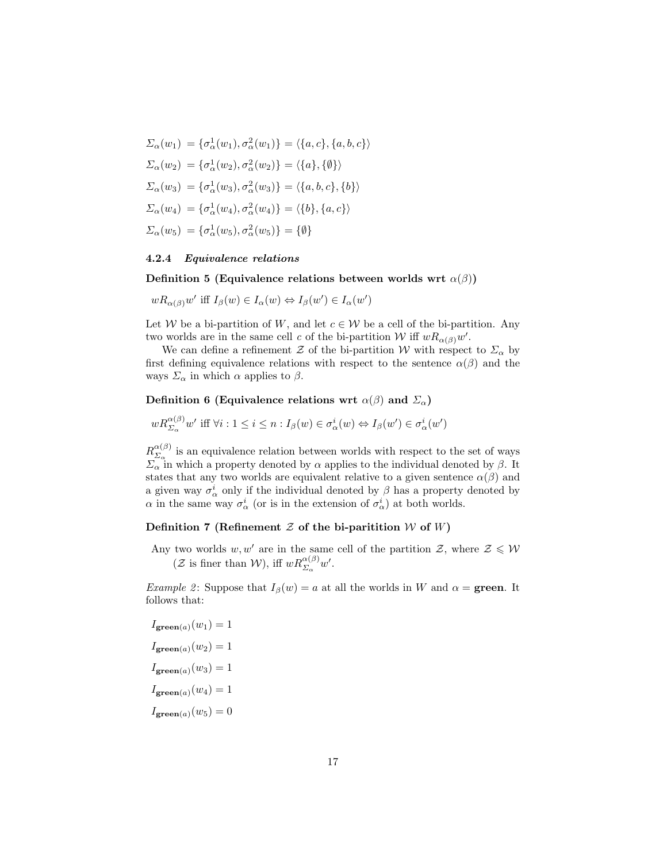$$
\Sigma_{\alpha}(w_{1}) = \{\sigma_{\alpha}^{1}(w_{1}), \sigma_{\alpha}^{2}(w_{1})\} = \langle \{a, c\}, \{a, b, c\} \rangle
$$
  
\n
$$
\Sigma_{\alpha}(w_{2}) = \{\sigma_{\alpha}^{1}(w_{2}), \sigma_{\alpha}^{2}(w_{2})\} = \langle \{a\}, \{\emptyset\} \rangle
$$
  
\n
$$
\Sigma_{\alpha}(w_{3}) = \{\sigma_{\alpha}^{1}(w_{3}), \sigma_{\alpha}^{2}(w_{3})\} = \langle \{a, b, c\}, \{b\} \rangle
$$
  
\n
$$
\Sigma_{\alpha}(w_{4}) = \{\sigma_{\alpha}^{1}(w_{4}), \sigma_{\alpha}^{2}(w_{4})\} = \langle \{b\}, \{a, c\} \rangle
$$
  
\n
$$
\Sigma_{\alpha}(w_{5}) = \{\sigma_{\alpha}^{1}(w_{5}), \sigma_{\alpha}^{2}(w_{5})\} = \{\emptyset\}
$$

#### 4.2.4 Equivalence relations

Definition 5 (Equivalence relations between worlds wrt  $\alpha(\beta)$ )

 $wR_{\alpha(\beta)}w'$  iff  $I_{\beta}(w) \in I_{\alpha}(w) \Leftrightarrow I_{\beta}(w') \in I_{\alpha}(w')$ 

Let W be a bi-partition of W, and let  $c \in W$  be a cell of the bi-partition. Any two worlds are in the same cell c of the bi-partition W iff  $wR_{\alpha(\beta)}w'$ .

We can define a refinement Z of the bi-partition W with respect to  $\Sigma_{\alpha}$  by first defining equivalence relations with respect to the sentence  $\alpha(\beta)$  and the ways  $\Sigma_{\alpha}$  in which  $\alpha$  applies to  $\beta$ .

### Definition 6 (Equivalence relations wrt  $\alpha(\beta)$  and  $\Sigma_{\alpha}$ )

$$
w R_{\Sigma_{\alpha}}^{\alpha(\beta)} w' \text{ iff } \forall i: 1 \leq i \leq n: I_{\beta}(w) \in \sigma_{\alpha}^{i}(w) \Leftrightarrow I_{\beta}(w') \in \sigma_{\alpha}^{i}(w')
$$

 $R_{\Sigma}^{\alpha(\beta)}$  $\sum_{\alpha}^{\alpha(\beta)}$  is an equivalence relation between worlds with respect to the set of ways  $\Sigma_{\alpha}$  in which a property denoted by  $\alpha$  applies to the individual denoted by  $\beta$ . It states that any two worlds are equivalent relative to a given sentence  $\alpha(\beta)$  and a given way  $\sigma^i_\alpha$  only if the individual denoted by  $\beta$  has a property denoted by  $\alpha$  in the same way  $\sigma_{\alpha}^{i}$  (or is in the extension of  $\sigma_{\alpha}^{i}$ ) at both worlds.

## Definition 7 (Refinement  $Z$  of the bi-paritition  $W$  of  $W$ )

Any two worlds  $w, w'$  are in the same cell of the partition  $\mathcal{Z}$ , where  $\mathcal{Z} \leqslant \mathcal{W}$  $(\mathcal{Z} \text{ is finer than } \mathcal{W})$ , iff  $wR_{\Sigma_{\alpha}}^{\alpha(\beta)}w'.$ 

*Example 2*: Suppose that  $I_\beta(w) = a$  at all the worlds in W and  $\alpha = \text{green}$ . It follows that:

$$
I_{\text{green}(a)}(w_1) = 1
$$

$$
I_{\text{green}(a)}(w_2) = 1
$$

$$
I_{\text{green}(a)}(w_3) = 1
$$

$$
I_{\text{green}(a)}(w_4) = 1
$$

$$
I_{\text{green}(a)}(w_5) = 0
$$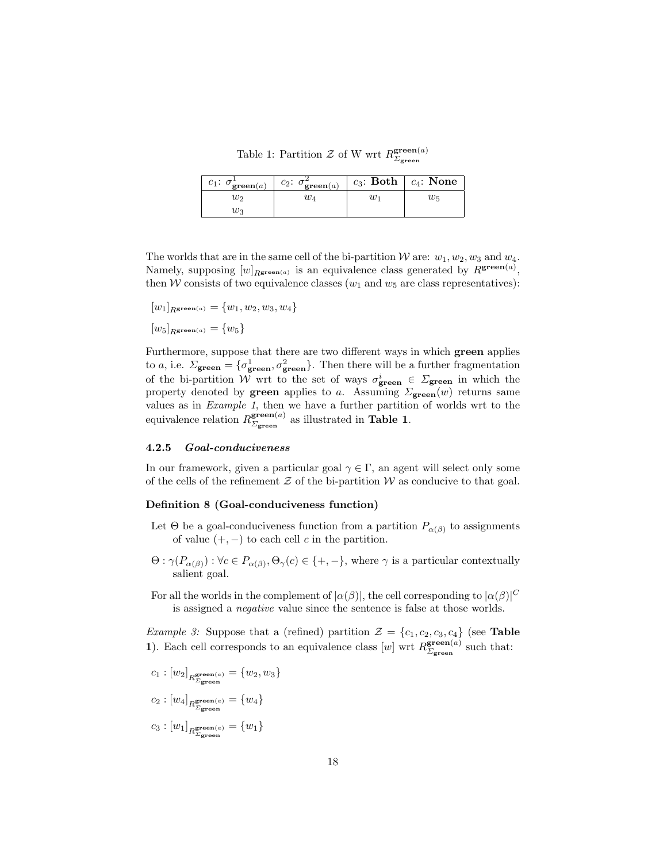Table 1: Partition  $Z$  of W wrt  $R_{\Sigma}^{\text{green}(a)}$  $\Sigma$ green

| $c_1$ : $\sigma_{\textbf{green}(a)}^{\text{+}}$ | $c_2$ : $\sigma^2_{\textbf{green}(a)}$ |    | $c_3$ : Both $\mid c_4$ : None |
|-------------------------------------------------|----------------------------------------|----|--------------------------------|
| W2                                              | $w_{4}$                                | W1 | $w_5$                          |
| Wз                                              |                                        |    |                                |

The worlds that are in the same cell of the bi-partition W are:  $w_1, w_2, w_3$  and  $w_4$ . Namely, supposing  $[w]_{R_{\text{green}(a)}}$  is an equivalence class generated by  $R_{\text{green}(a)}$ , then W consists of two equivalence classes  $(w_1 \text{ and } w_5 \text{ are class representatives})$ :

$$
[w_1]_{R{\text{green}(a)}} = \{w_1, w_2, w_3, w_4\}
$$

 $[w_5]_{R<sub>green(a)</sub>} = \{w_5\}$ 

Furthermore, suppose that there are two different ways in which green applies to a, i.e.  $\Sigma_{\text{green}} = {\sigma_{\text{green}}^1, \sigma_{\text{green}}^2}.$  Then there will be a further fragmentation of the bi-partition W wrt to the set of ways  $\sigma_{\text{green}}^i \in \Sigma_{\text{green}}$  in which the property denoted by green applies to a. Assuming  $\Sigma_{\text{green}}(w)$  returns same values as in Example 1, then we have a further partition of worlds wrt to the equivalence relation  $R_{\Sigma_{\text{meas}}}^{\text{green}(a)}$  $\sum_{\text{green}}^{green(a)}$  as illustrated in **Table 1.** 

#### 4.2.5 Goal-conduciveness

In our framework, given a particular goal  $\gamma \in \Gamma$ , an agent will select only some of the cells of the refinement  $\mathcal Z$  of the bi-partition  $\mathcal W$  as conducive to that goal.

#### Definition 8 (Goal-conduciveness function)

- Let  $\Theta$  be a goal-conduciveness function from a partition  $P_{\alpha(\beta)}$  to assignments of value  $(+, -)$  to each cell c in the partition.
- $\Theta : \gamma(P_{\alpha(\beta)}) : \forall c \in P_{\alpha(\beta)}, \Theta_{\gamma}(c) \in \{+, -\},\$  where  $\gamma$  is a particular contextually salient goal.
- For all the worlds in the complement of  $|\alpha(\beta)|$ , the cell corresponding to  $|\alpha(\beta)|^C$ is assigned a negative value since the sentence is false at those worlds.

*Example 3:* Suppose that a (refined) partition  $\mathcal{Z} = \{c_1, c_2, c_3, c_4\}$  (see Table 1). Each cell corresponds to an equivalence class  $[w]$  wrt  $R_{\Sigma_{\text{meas}}}^{\text{green}(a)}$  $\mathcal{Z}_{\text{green}}^{(\alpha)}$  such that:

- $c_1: [w_2]_{R_{\mathcal{Z} \mathbf{green}(a)}^{\mathbf{green}(a)}} = \{w_2, w_3\}$
- $c_2: [w_4]_{R_{\mathcal{Z} \mathbf{green}(a)}^{\mathbf{green}(a)}} = \{w_4\}$
- $c_3: [w_1]_{R_{\mathcal{Z}_\mathbf{green}(a)}^\mathbf{green}} = \{w_1\}$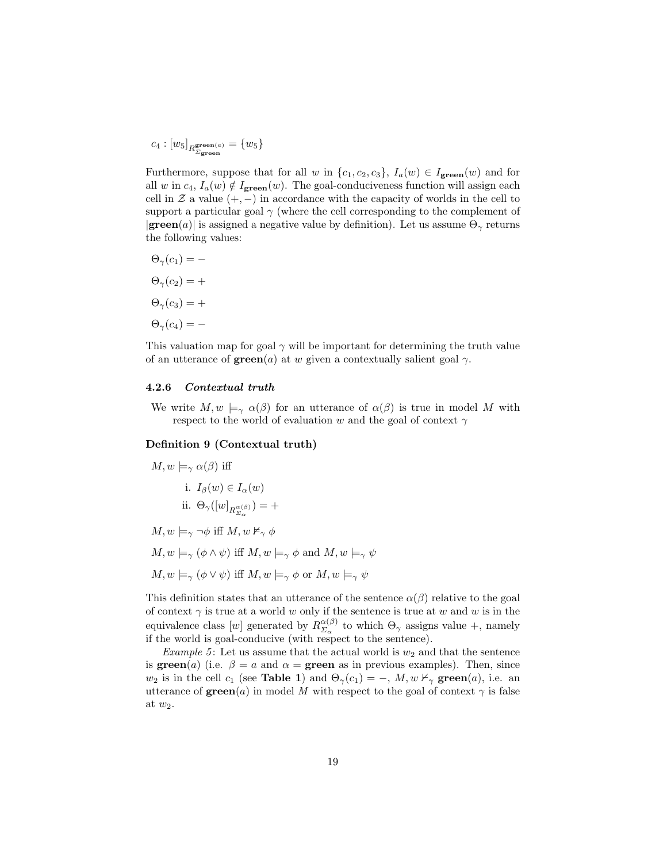$$
c_4: [w_5]_{R_{\mathcal{Z}_\mathbf{green}(a)}^\mathbf{green}} = \{w_5\}
$$

Furthermore, suppose that for all w in  $\{c_1, c_2, c_3\}$ ,  $I_a(w) \in I_{\text{green}}(w)$  and for all w in  $c_4$ ,  $I_a(w) \notin I_{\text{green}}(w)$ . The goal-conduciveness function will assign each cell in  $\mathcal Z$  a value  $(+,-)$  in accordance with the capacity of worlds in the cell to support a particular goal  $\gamma$  (where the cell corresponding to the complement of  $|\textbf{green}(a)|$  is assigned a negative value by definition). Let us assume  $\Theta_{\gamma}$  returns the following values:

$$
\Theta_{\gamma}(c_1) = -
$$
  
\n
$$
\Theta_{\gamma}(c_2) = +
$$
  
\n
$$
\Theta_{\gamma}(c_3) = +
$$
  
\n
$$
\Theta_{\gamma}(c_4) = -
$$

This valuation map for goal  $\gamma$  will be important for determining the truth value of an utterance of  $\operatorname{green}(a)$  at w given a contextually salient goal  $\gamma$ .

#### 4.2.6 Contextual truth

We write  $M, w \models_{\gamma} \alpha(\beta)$  for an utterance of  $\alpha(\beta)$  is true in model M with respect to the world of evaluation w and the goal of context  $\gamma$ 

#### Definition 9 (Contextual truth)

$$
M, w \models_{\gamma} \alpha(\beta) \text{ iff}
$$
  
\ni.  $I_{\beta}(w) \in I_{\alpha}(w)$   
\nii.  $\Theta_{\gamma}([w]_{R_{\Sigma_{\alpha}}^{\alpha(\beta)}}) = +$   
\n
$$
M, w \models_{\gamma} \neg \phi \text{ iff } M, w \nvDash_{\gamma} \phi
$$
  
\n
$$
M, w \models_{\gamma} (\phi \land \psi) \text{ iff } M, w \models_{\gamma} \phi \text{ and } M, w \models_{\gamma} \psi
$$
  
\n
$$
M, w \models_{\gamma} (\phi \lor \psi) \text{ iff } M, w \models_{\gamma} \phi \text{ or } M, w \models_{\gamma} \psi
$$

This definition states that an utterance of the sentence  $\alpha(\beta)$  relative to the goal of context  $\gamma$  is true at a world w only if the sentence is true at w and w is in the equivalence class [w] generated by  $R_{\Sigma}^{\alpha(\beta)}$  $\frac{\alpha(\beta)}{\Sigma_{\alpha}}$  to which  $\Theta_{\gamma}$  assigns value +, namely if the world is goal-conducive (with respect to the sentence).

Example 5: Let us assume that the actual world is  $w_2$  and that the sentence is green(a) (i.e.  $\beta = a$  and  $\alpha =$  green as in previous examples). Then, since  $w_2$  is in the cell  $c_1$  (see **Table 1**) and  $\Theta_{\gamma}(c_1) = -$ ,  $M, w \nvdash_{\gamma} \textbf{green}(a)$ , i.e. an utterance of  $\mathbf{green}(a)$  in model M with respect to the goal of context  $\gamma$  is false at  $w_2$ .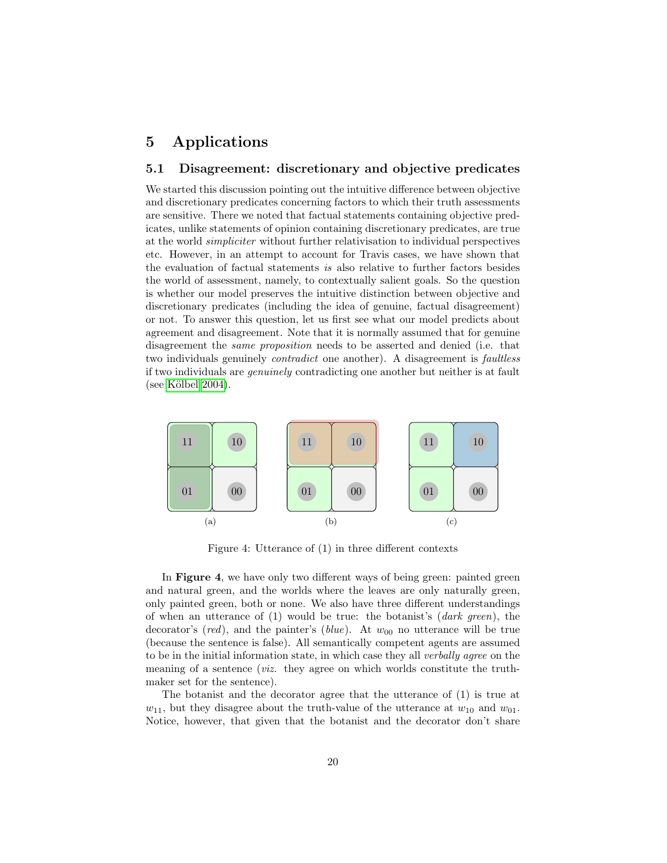## 5 Applications

### 5.1 Disagreement: discretionary and objective predicates

We started this discussion pointing out the intuitive difference between objective and discretionary predicates concerning factors to which their truth assessments are sensitive. There we noted that factual statements containing objective predicates, unlike statements of opinion containing discretionary predicates, are true at the world simpliciter without further relativisation to individual perspectives etc. However, in an attempt to account for Travis cases, we have shown that the evaluation of factual statements is also relative to further factors besides the world of assessment, namely, to contextually salient goals. So the question is whether our model preserves the intuitive distinction between objective and discretionary predicates (including the idea of genuine, factual disagreement) or not. To answer this question, let us first see what our model predicts about agreement and disagreement. Note that it is normally assumed that for genuine disagreement the same proposition needs to be asserted and denied (i.e. that two individuals genuinely *contradict* one another). A disagreement is *faultless* if two individuals are genuinely contradicting one another but neither is at fault  $(see Kölbel 2004).$ 



Figure 4: Utterance of (1) in three different contexts

In Figure 4, we have only two different ways of being green: painted green and natural green, and the worlds where the leaves are only naturally green, only painted green, both or none. We also have three different understandings of when an utterance of  $(1)$  would be true: the botanist's  $(dark green)$ , the decorator's (red), and the painter's (blue). At  $w_{00}$  no utterance will be true (because the sentence is false). All semantically competent agents are assumed to be in the initial information state, in which case they all verbally agree on the meaning of a sentence (viz. they agree on which worlds constitute the truthmaker set for the sentence).

The botanist and the decorator agree that the utterance of (1) is true at  $w_{11}$ , but they disagree about the truth-value of the utterance at  $w_{10}$  and  $w_{01}$ . Notice, however, that given that the botanist and the decorator don't share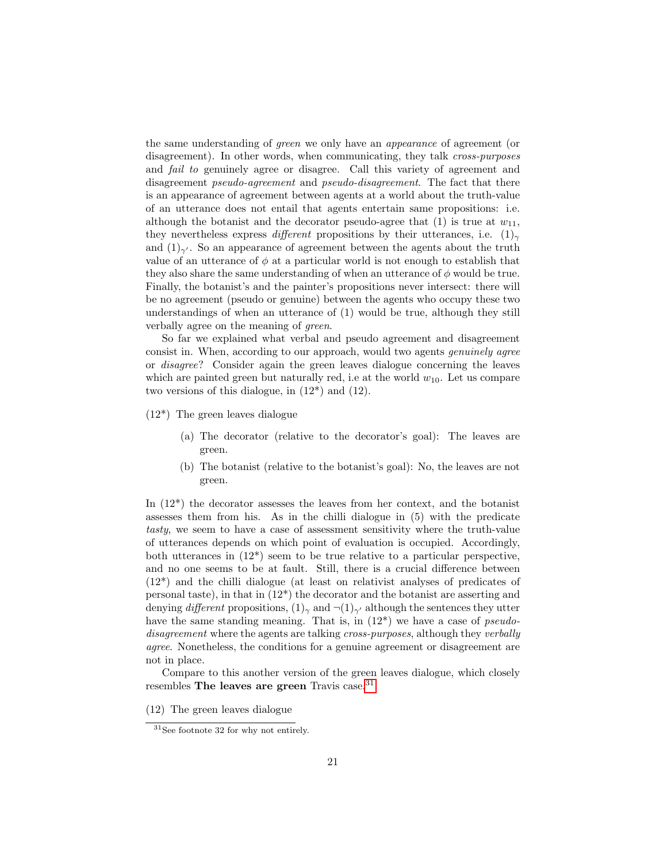the same understanding of green we only have an appearance of agreement (or disagreement). In other words, when communicating, they talk *cross-purposes* and fail to genuinely agree or disagree. Call this variety of agreement and disagreement *pseudo-agreement* and *pseudo-disagreement*. The fact that there is an appearance of agreement between agents at a world about the truth-value of an utterance does not entail that agents entertain same propositions: i.e. although the botanist and the decorator pseudo-agree that (1) is true at  $w_{11}$ , they nevertheless express different propositions by their utterances, i.e.  $(1)_{\gamma}$ and  $(1)_{\gamma'}$ . So an appearance of agreement between the agents about the truth value of an utterance of  $\phi$  at a particular world is not enough to establish that they also share the same understanding of when an utterance of  $\phi$  would be true. Finally, the botanist's and the painter's propositions never intersect: there will be no agreement (pseudo or genuine) between the agents who occupy these two understandings of when an utterance of (1) would be true, although they still verbally agree on the meaning of green.

So far we explained what verbal and pseudo agreement and disagreement consist in. When, according to our approach, would two agents genuinely agree or disagree? Consider again the green leaves dialogue concerning the leaves which are painted green but naturally red, i.e at the world  $w_{10}$ . Let us compare two versions of this dialogue, in (12\*) and (12).

- (12\*) The green leaves dialogue
	- (a) The decorator (relative to the decorator's goal): The leaves are green.
	- (b) The botanist (relative to the botanist's goal): No, the leaves are not green.

In (12\*) the decorator assesses the leaves from her context, and the botanist assesses them from his. As in the chilli dialogue in (5) with the predicate tasty, we seem to have a case of assessment sensitivity where the truth-value of utterances depends on which point of evaluation is occupied. Accordingly, both utterances in (12\*) seem to be true relative to a particular perspective, and no one seems to be at fault. Still, there is a crucial difference between (12\*) and the chilli dialogue (at least on relativist analyses of predicates of personal taste), in that in  $(12^*)$  the decorator and the botanist are asserting and denying different propositions,  $(1)_{\gamma}$  and  $\neg(1)_{\gamma'}$  although the sentences they utter have the same standing meaning. That is, in  $(12^*)$  we have a case of *pseudo*disagreement where the agents are talking cross-purposes, although they verbally agree. Nonetheless, the conditions for a genuine agreement or disagreement are not in place.

Compare to this another version of the green leaves dialogue, which closely resembles The leaves are green Travis case.<sup>[31](#page-20-0)</sup>

(12) The green leaves dialogue

<span id="page-20-0"></span><sup>31</sup>See footnote 32 for why not entirely.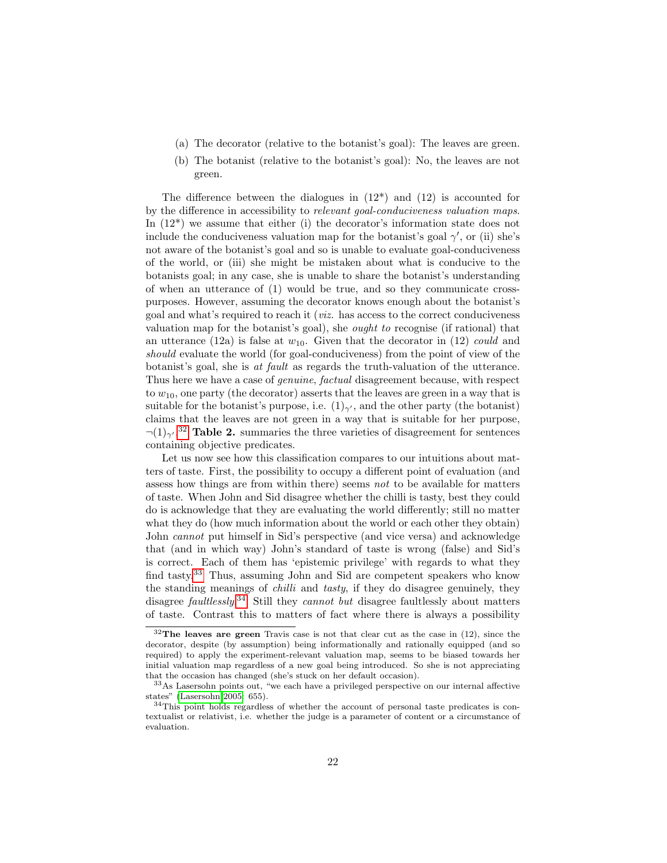- (a) The decorator (relative to the botanist's goal): The leaves are green.
- (b) The botanist (relative to the botanist's goal): No, the leaves are not green.

The difference between the dialogues in  $(12^*)$  and  $(12)$  is accounted for by the difference in accessibility to relevant goal-conduciveness valuation maps. In  $(12^*)$  we assume that either (i) the decorator's information state does not include the conduciveness valuation map for the botanist's goal  $\gamma'$ , or (ii) she's not aware of the botanist's goal and so is unable to evaluate goal-conduciveness of the world, or (iii) she might be mistaken about what is conducive to the botanists goal; in any case, she is unable to share the botanist's understanding of when an utterance of  $(1)$  would be true, and so they communicate crosspurposes. However, assuming the decorator knows enough about the botanist's goal and what's required to reach it (viz. has access to the correct conduciveness valuation map for the botanist's goal), she ought to recognise (if rational) that an utterance (12a) is false at  $w_{10}$ . Given that the decorator in (12) could and should evaluate the world (for goal-conduciveness) from the point of view of the botanist's goal, she is at fault as regards the truth-valuation of the utterance. Thus here we have a case of genuine, factual disagreement because, with respect to  $w_{10}$ , one party (the decorator) asserts that the leaves are green in a way that is suitable for the botanist's purpose, i.e.  $(1)_{\gamma'}$ , and the other party (the botanist) claims that the leaves are not green in a way that is suitable for her purpose,  $\neg(1)_{\gamma'}$ <sup>[32](#page-21-0)</sup> Table 2. summaries the three varieties of disagreement for sentences containing objective predicates.

Let us now see how this classification compares to our intuitions about matters of taste. First, the possibility to occupy a different point of evaluation (and assess how things are from within there) seems not to be available for matters of taste. When John and Sid disagree whether the chilli is tasty, best they could do is acknowledge that they are evaluating the world differently; still no matter what they do (how much information about the world or each other they obtain) John cannot put himself in Sid's perspective (and vice versa) and acknowledge that (and in which way) John's standard of taste is wrong (false) and Sid's is correct. Each of them has 'epistemic privilege' with regards to what they find tasty.<sup>[33](#page-21-1)</sup> Thus, assuming John and Sid are competent speakers who know the standing meanings of chilli and tasty, if they do disagree genuinely, they disagree *faultlessly*.<sup>[34](#page-21-2)</sup> Still they *cannot but* disagree faultlessly about matters of taste. Contrast this to matters of fact where there is always a possibility

<span id="page-21-0"></span> $32$ The leaves are green Travis case is not that clear cut as the case in (12), since the decorator, despite (by assumption) being informationally and rationally equipped (and so required) to apply the experiment-relevant valuation map, seems to be biased towards her initial valuation map regardless of a new goal being introduced. So she is not appreciating that the occasion has changed (she's stuck on her default occasion).

<span id="page-21-1"></span><sup>33</sup>As Lasersohn points out, "we each have a privileged perspective on our internal affective states" [\(Lasersohn 2005:](#page-26-1) 655).

<span id="page-21-2"></span><sup>34</sup>This point holds regardless of whether the account of personal taste predicates is contextualist or relativist, i.e. whether the judge is a parameter of content or a circumstance of evaluation.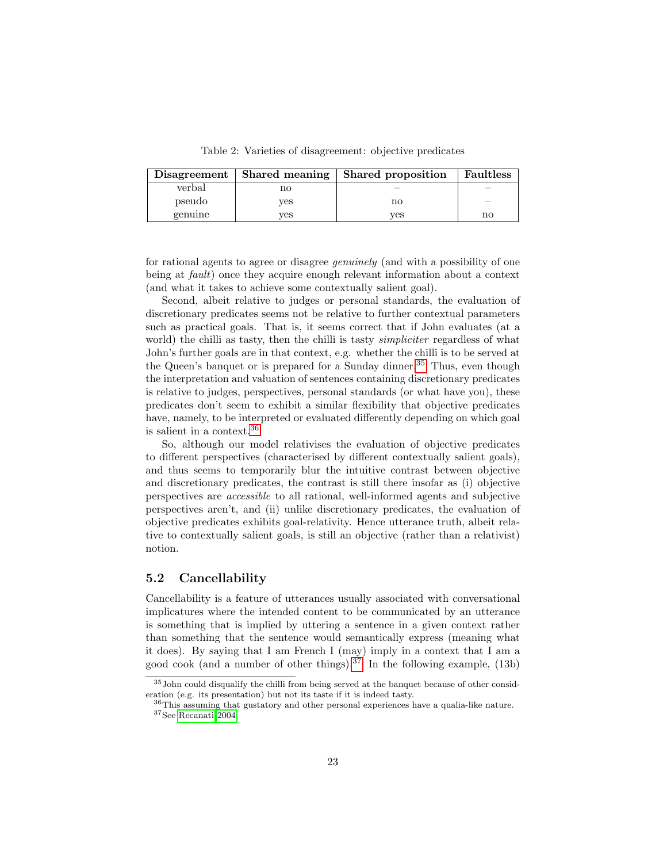Table 2: Varieties of disagreement: objective predicates

| Disagreement | Shared meaning | Shared proposition | <b>Faultless</b> |
|--------------|----------------|--------------------|------------------|
| verbal       | nο             |                    |                  |
| pseudo       | ves            | no                 |                  |
| genuine      | ves            | ves                | no               |

for rational agents to agree or disagree genuinely (and with a possibility of one being at fault) once they acquire enough relevant information about a context (and what it takes to achieve some contextually salient goal).

Second, albeit relative to judges or personal standards, the evaluation of discretionary predicates seems not be relative to further contextual parameters such as practical goals. That is, it seems correct that if John evaluates (at a world) the chilli as tasty, then the chilli is tasty *simpliciter* regardless of what John's further goals are in that context, e.g. whether the chilli is to be served at the Queen's banquet or is prepared for a Sunday dinner.<sup>[35](#page-22-0)</sup> Thus, even though the interpretation and valuation of sentences containing discretionary predicates is relative to judges, perspectives, personal standards (or what have you), these predicates don't seem to exhibit a similar flexibility that objective predicates have, namely, to be interpreted or evaluated differently depending on which goal is salient in a context.[36](#page-22-1)

So, although our model relativises the evaluation of objective predicates to different perspectives (characterised by different contextually salient goals), and thus seems to temporarily blur the intuitive contrast between objective and discretionary predicates, the contrast is still there insofar as (i) objective perspectives are accessible to all rational, well-informed agents and subjective perspectives aren't, and (ii) unlike discretionary predicates, the evaluation of objective predicates exhibits goal-relativity. Hence utterance truth, albeit relative to contextually salient goals, is still an objective (rather than a relativist) notion.

### 5.2 Cancellability

Cancellability is a feature of utterances usually associated with conversational implicatures where the intended content to be communicated by an utterance is something that is implied by uttering a sentence in a given context rather than something that the sentence would semantically express (meaning what it does). By saying that I am French I (may) imply in a context that I am a good cook (and a number of other things).<sup>[37](#page-22-2)</sup> In the following example,  $(13b)$ 

<span id="page-22-0"></span> $35$  John could disqualify the chilli from being served at the banquet because of other consideration (e.g. its presentation) but not its taste if it is indeed tasty.

<span id="page-22-2"></span><span id="page-22-1"></span><sup>36</sup>This assuming that gustatory and other personal experiences have a qualia-like nature.  $^{37}\mathrm{See}$  [Recanati 2004.](#page-27-2)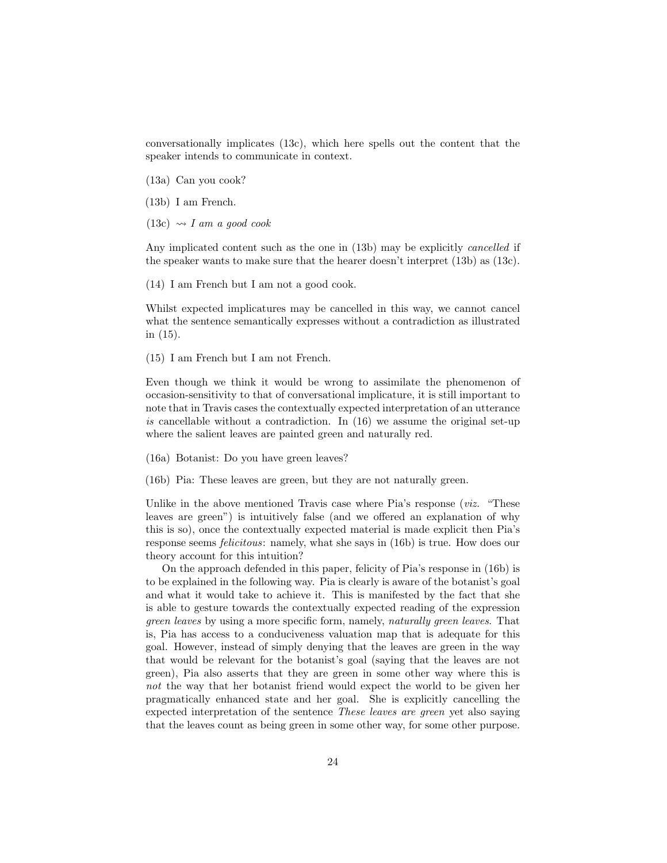conversationally implicates (13c), which here spells out the content that the speaker intends to communicate in context.

(13a) Can you cook?

- (13b) I am French.
- $(13c) \rightsquigarrow I$  am a good cook

Any implicated content such as the one in (13b) may be explicitly cancelled if the speaker wants to make sure that the hearer doesn't interpret (13b) as (13c).

(14) I am French but I am not a good cook.

Whilst expected implicatures may be cancelled in this way, we cannot cancel what the sentence semantically expresses without a contradiction as illustrated in (15).

(15) I am French but I am not French.

Even though we think it would be wrong to assimilate the phenomenon of occasion-sensitivity to that of conversational implicature, it is still important to note that in Travis cases the contextually expected interpretation of an utterance is cancellable without a contradiction. In  $(16)$  we assume the original set-up where the salient leaves are painted green and naturally red.

(16a) Botanist: Do you have green leaves?

(16b) Pia: These leaves are green, but they are not naturally green.

Unlike in the above mentioned Travis case where Pia's response (*viz.* "These leaves are green") is intuitively false (and we offered an explanation of why this is so), once the contextually expected material is made explicit then Pia's response seems felicitous: namely, what she says in (16b) is true. How does our theory account for this intuition?

On the approach defended in this paper, felicity of Pia's response in (16b) is to be explained in the following way. Pia is clearly is aware of the botanist's goal and what it would take to achieve it. This is manifested by the fact that she is able to gesture towards the contextually expected reading of the expression green leaves by using a more specific form, namely, naturally green leaves. That is, Pia has access to a conduciveness valuation map that is adequate for this goal. However, instead of simply denying that the leaves are green in the way that would be relevant for the botanist's goal (saying that the leaves are not green), Pia also asserts that they are green in some other way where this is not the way that her botanist friend would expect the world to be given her pragmatically enhanced state and her goal. She is explicitly cancelling the expected interpretation of the sentence These leaves are green yet also saying that the leaves count as being green in some other way, for some other purpose.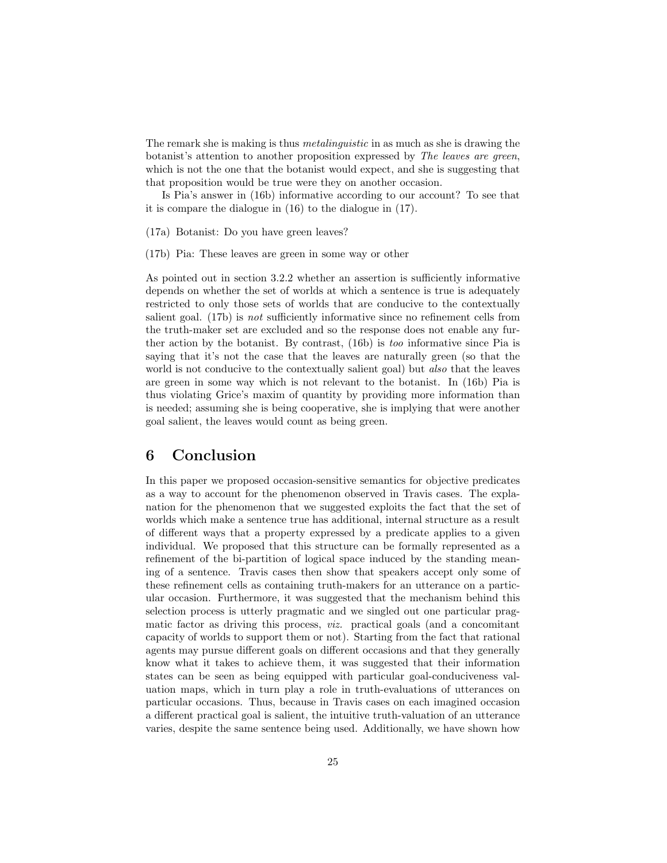The remark she is making is thus *metalinguistic* in as much as she is drawing the botanist's attention to another proposition expressed by The leaves are green, which is not the one that the botanist would expect, and she is suggesting that that proposition would be true were they on another occasion.

Is Pia's answer in (16b) informative according to our account? To see that it is compare the dialogue in (16) to the dialogue in (17).

(17a) Botanist: Do you have green leaves?

(17b) Pia: These leaves are green in some way or other

As pointed out in section 3.2.2 whether an assertion is sufficiently informative depends on whether the set of worlds at which a sentence is true is adequately restricted to only those sets of worlds that are conducive to the contextually salient goal. (17b) is not sufficiently informative since no refinement cells from the truth-maker set are excluded and so the response does not enable any further action by the botanist. By contrast, (16b) is too informative since Pia is saying that it's not the case that the leaves are naturally green (so that the world is not conducive to the contextually salient goal) but *also* that the leaves are green in some way which is not relevant to the botanist. In (16b) Pia is thus violating Grice's maxim of quantity by providing more information than is needed; assuming she is being cooperative, she is implying that were another goal salient, the leaves would count as being green.

## 6 Conclusion

In this paper we proposed occasion-sensitive semantics for objective predicates as a way to account for the phenomenon observed in Travis cases. The explanation for the phenomenon that we suggested exploits the fact that the set of worlds which make a sentence true has additional, internal structure as a result of different ways that a property expressed by a predicate applies to a given individual. We proposed that this structure can be formally represented as a refinement of the bi-partition of logical space induced by the standing meaning of a sentence. Travis cases then show that speakers accept only some of these refinement cells as containing truth-makers for an utterance on a particular occasion. Furthermore, it was suggested that the mechanism behind this selection process is utterly pragmatic and we singled out one particular pragmatic factor as driving this process, viz. practical goals (and a concomitant capacity of worlds to support them or not). Starting from the fact that rational agents may pursue different goals on different occasions and that they generally know what it takes to achieve them, it was suggested that their information states can be seen as being equipped with particular goal-conduciveness valuation maps, which in turn play a role in truth-evaluations of utterances on particular occasions. Thus, because in Travis cases on each imagined occasion a different practical goal is salient, the intuitive truth-valuation of an utterance varies, despite the same sentence being used. Additionally, we have shown how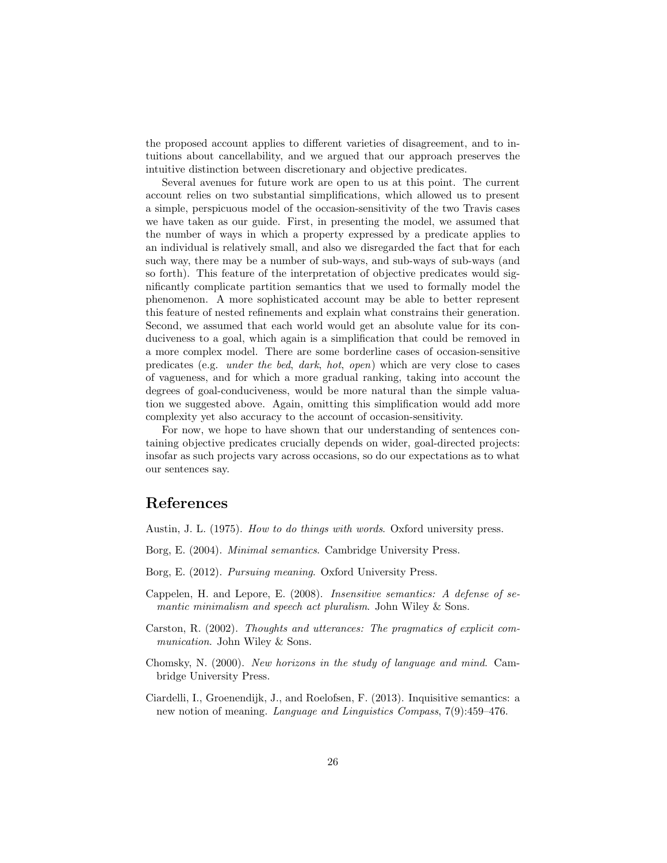the proposed account applies to different varieties of disagreement, and to intuitions about cancellability, and we argued that our approach preserves the intuitive distinction between discretionary and objective predicates.

Several avenues for future work are open to us at this point. The current account relies on two substantial simplifications, which allowed us to present a simple, perspicuous model of the occasion-sensitivity of the two Travis cases we have taken as our guide. First, in presenting the model, we assumed that the number of ways in which a property expressed by a predicate applies to an individual is relatively small, and also we disregarded the fact that for each such way, there may be a number of sub-ways, and sub-ways of sub-ways (and so forth). This feature of the interpretation of objective predicates would significantly complicate partition semantics that we used to formally model the phenomenon. A more sophisticated account may be able to better represent this feature of nested refinements and explain what constrains their generation. Second, we assumed that each world would get an absolute value for its conduciveness to a goal, which again is a simplification that could be removed in a more complex model. There are some borderline cases of occasion-sensitive predicates (e.g. under the bed, dark, hot, open) which are very close to cases of vagueness, and for which a more gradual ranking, taking into account the degrees of goal-conduciveness, would be more natural than the simple valuation we suggested above. Again, omitting this simplification would add more complexity yet also accuracy to the account of occasion-sensitivity.

For now, we hope to have shown that our understanding of sentences containing objective predicates crucially depends on wider, goal-directed projects: insofar as such projects vary across occasions, so do our expectations as to what our sentences say.

## References

<span id="page-25-1"></span>Austin, J. L. (1975). How to do things with words. Oxford university press.

- <span id="page-25-4"></span>Borg, E. (2004). Minimal semantics. Cambridge University Press.
- <span id="page-25-5"></span>Borg, E. (2012). Pursuing meaning. Oxford University Press.
- <span id="page-25-3"></span>Cappelen, H. and Lepore, E. (2008). Insensitive semantics: A defense of semantic minimalism and speech act pluralism. John Wiley & Sons.
- <span id="page-25-0"></span>Carston, R. (2002). Thoughts and utterances: The pragmatics of explicit communication. John Wiley & Sons.
- <span id="page-25-2"></span>Chomsky, N. (2000). New horizons in the study of language and mind. Cambridge University Press.
- <span id="page-25-6"></span>Ciardelli, I., Groenendijk, J., and Roelofsen, F. (2013). Inquisitive semantics: a new notion of meaning. Language and Linguistics Compass, 7(9):459–476.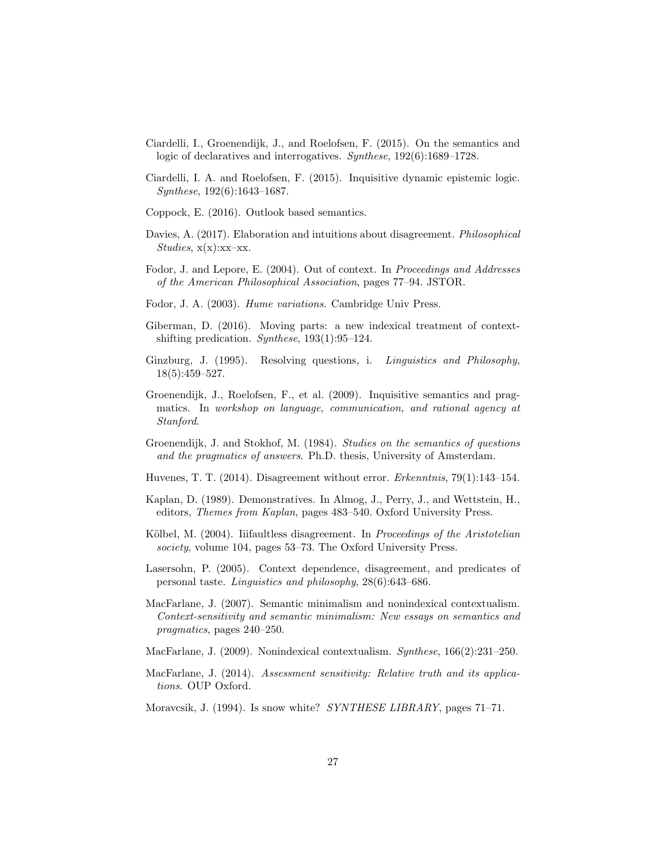- <span id="page-26-16"></span>Ciardelli, I., Groenendijk, J., and Roelofsen, F. (2015). On the semantics and logic of declaratives and interrogatives. Synthese, 192(6):1689–1728.
- <span id="page-26-17"></span>Ciardelli, I. A. and Roelofsen, F. (2015). Inquisitive dynamic epistemic logic. Synthese, 192(6):1643–1687.
- <span id="page-26-3"></span>Coppock, E. (2016). Outlook based semantics.
- <span id="page-26-14"></span>Davies, A. (2017). Elaboration and intuitions about disagreement. Philosophical  $Studies, x(x):xx-xx.$
- <span id="page-26-11"></span>Fodor, J. and Lepore, E. (2004). Out of context. In Proceedings and Addresses of the American Philosophical Association, pages 77–94. JSTOR.
- <span id="page-26-12"></span>Fodor, J. A. (2003). Hume variations. Cambridge Univ Press.
- <span id="page-26-10"></span>Giberman, D. (2016). Moving parts: a new indexical treatment of contextshifting predication. Synthese, 193(1):95–124.
- <span id="page-26-13"></span>Ginzburg, J. (1995). Resolving questions, i. Linguistics and Philosophy, 18(5):459–527.
- <span id="page-26-15"></span>Groenendijk, J., Roelofsen, F., et al. (2009). Inquisitive semantics and pragmatics. In workshop on language, communication, and rational agency at Stanford.
- <span id="page-26-0"></span>Groenendijk, J. and Stokhof, M. (1984). Studies on the semantics of questions and the pragmatics of answers. Ph.D. thesis, University of Amsterdam.
- <span id="page-26-5"></span>Huvenes, T. T. (2014). Disagreement without error. Erkenntnis, 79(1):143–154.
- <span id="page-26-9"></span>Kaplan, D. (1989). Demonstratives. In Almog, J., Perry, J., and Wettstein, H., editors, Themes from Kaplan, pages 483–540. Oxford University Press.
- <span id="page-26-2"></span>Kölbel, M. (2004). Iiifaultless disagreement. In Proceedings of the Aristotelian society, volume 104, pages 53–73. The Oxford University Press.
- <span id="page-26-1"></span>Lasersohn, P. (2005). Context dependence, disagreement, and predicates of personal taste. Linguistics and philosophy, 28(6):643–686.
- <span id="page-26-7"></span>MacFarlane, J. (2007). Semantic minimalism and nonindexical contextualism. Context-sensitivity and semantic minimalism: New essays on semantics and pragmatics, pages 240–250.
- <span id="page-26-8"></span>MacFarlane, J. (2009). Nonindexical contextualism. Synthese, 166(2):231–250.
- <span id="page-26-4"></span>MacFarlane, J. (2014). Assessment sensitivity: Relative truth and its applications. OUP Oxford.
- <span id="page-26-6"></span>Moravcsik, J. (1994). Is snow white? SYNTHESE LIBRARY, pages 71–71.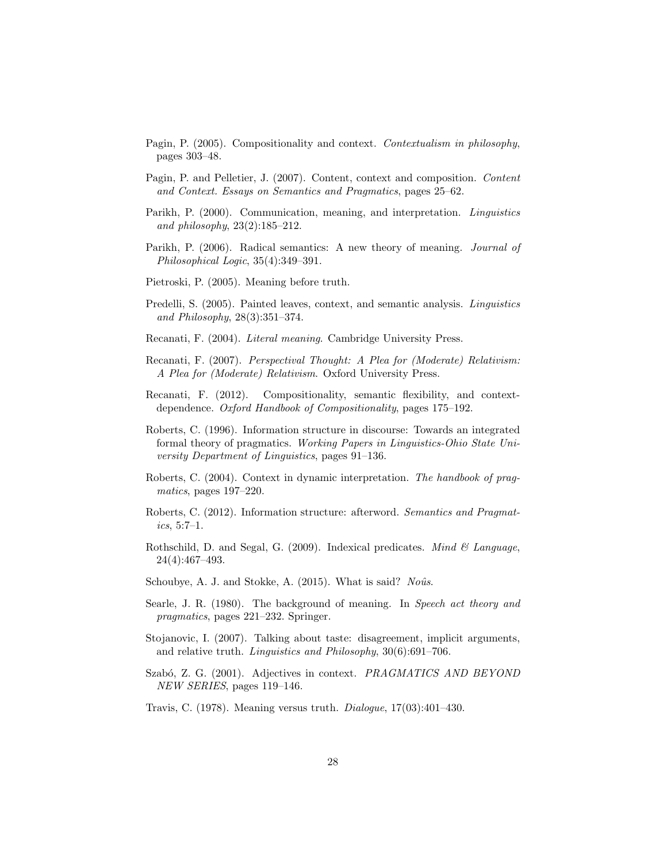- <span id="page-27-11"></span>Pagin, P. (2005). Compositionality and context. Contextualism in philosophy, pages 303–48.
- <span id="page-27-9"></span>Pagin, P. and Pelletier, J. (2007). Content, context and composition. Content and Context. Essays on Semantics and Pragmatics, pages 25–62.
- <span id="page-27-12"></span>Parikh, P. (2000). Communication, meaning, and interpretation. Linguistics and philosophy, 23(2):185–212.
- <span id="page-27-13"></span>Parikh, P. (2006). Radical semantics: A new theory of meaning. Journal of Philosophical Logic, 35(4):349–391.
- <span id="page-27-4"></span>Pietroski, P. (2005). Meaning before truth.
- <span id="page-27-7"></span>Predelli, S. (2005). Painted leaves, context, and semantic analysis. Linguistics and Philosophy, 28(3):351–374.
- <span id="page-27-2"></span>Recanati, F. (2004). Literal meaning. Cambridge University Press.
- <span id="page-27-10"></span>Recanati, F. (2007). Perspectival Thought: A Plea for (Moderate) Relativism: A Plea for (Moderate) Relativism. Oxford University Press.
- <span id="page-27-8"></span>Recanati, F. (2012). Compositionality, semantic flexibility, and contextdependence. Oxford Handbook of Compositionality, pages 175–192.
- <span id="page-27-14"></span>Roberts, C. (1996). Information structure in discourse: Towards an integrated formal theory of pragmatics. Working Papers in Linguistics-Ohio State University Department of Linguistics, pages 91–136.
- <span id="page-27-15"></span>Roberts, C. (2004). Context in dynamic interpretation. The handbook of pragmatics, pages 197–220.
- <span id="page-27-16"></span>Roberts, C. (2012). Information structure: afterword. Semantics and Pragmat $ics, 5:7-1.$
- <span id="page-27-5"></span>Rothschild, D. and Segal, G. (2009). Indexical predicates. Mind  $\mathcal C$  Language, 24(4):467–493.
- <span id="page-27-17"></span>Schoubye, A. J. and Stokke, A. (2015). What is said? Noûs.
- <span id="page-27-3"></span>Searle, J. R. (1980). The background of meaning. In Speech act theory and pragmatics, pages 221–232. Springer.
- <span id="page-27-1"></span>Stojanovic, I. (2007). Talking about taste: disagreement, implicit arguments, and relative truth. Linguistics and Philosophy, 30(6):691–706.
- <span id="page-27-6"></span>Szabó, Z. G. (2001). Adjectives in context. *PRAGMATICS AND BEYOND* NEW SERIES, pages 119–146.
- <span id="page-27-0"></span>Travis, C. (1978). Meaning versus truth. Dialogue, 17(03):401–430.